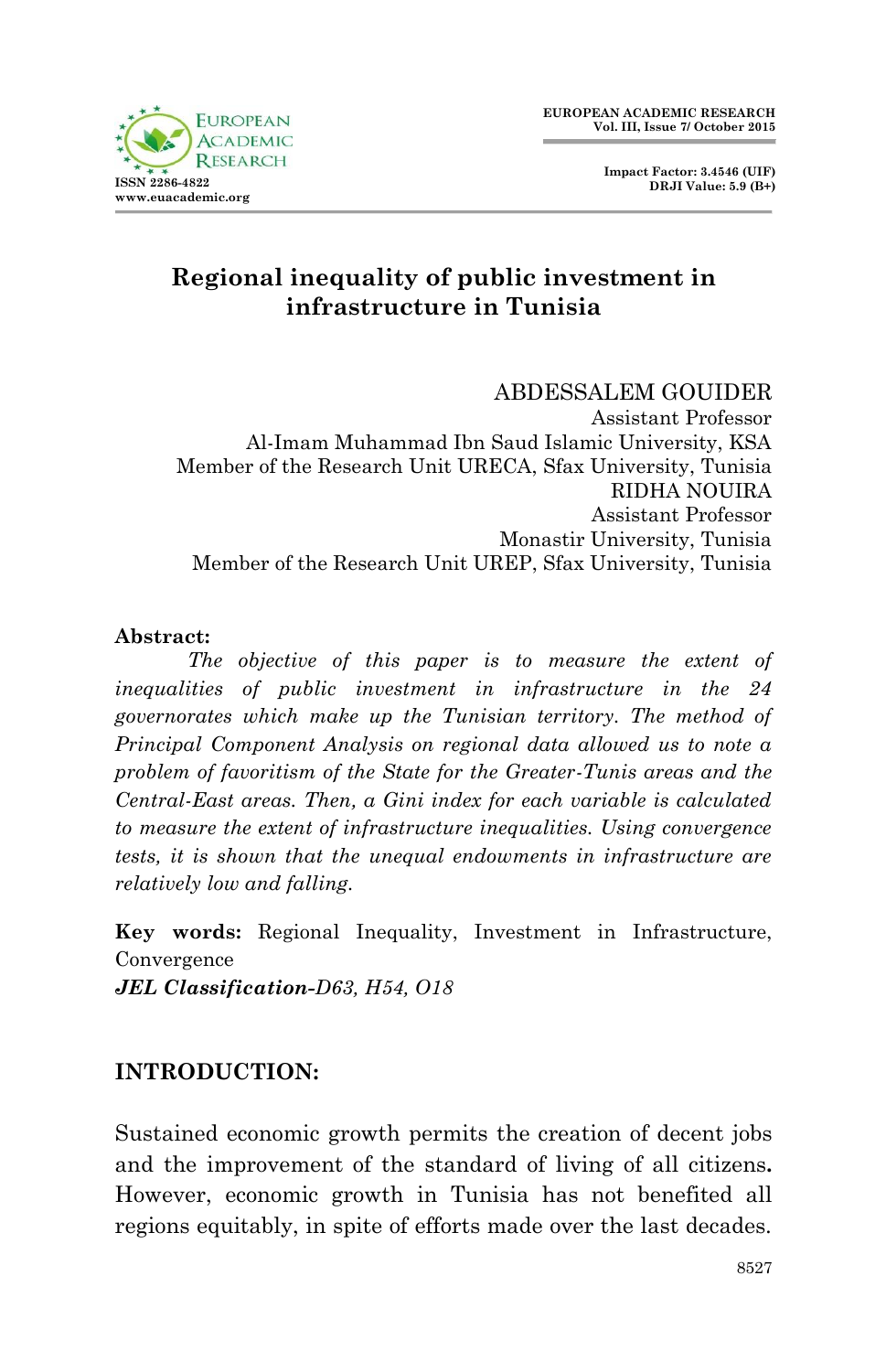



# **Regional inequality of public investment in infrastructure in Tunisia**

ABDESSALEM GOUIDER Assistant Professor Al-Imam Muhammad Ibn Saud Islamic University, KSA Member of the Research Unit URECA, Sfax University, Tunisia RIDHA NOUIRA Assistant Professor Monastir University, Tunisia Member of the Research Unit UREP, Sfax University, Tunisia

### **Abstract:**

*The objective of this paper is to measure the extent of inequalities of public investment in infrastructure in the 24 governorates which make up the Tunisian territory. The method of Principal Component Analysis on regional data allowed us to note a problem of favoritism of the State for the Greater-Tunis areas and the Central-East areas. Then, a Gini index for each variable is calculated to measure the extent of infrastructure inequalities. Using convergence tests, it is shown that the unequal endowments in infrastructure are relatively low and falling.*

**Key words:** Regional Inequality, Investment in Infrastructure, Convergence *JEL Classification-D63, H54, O18*

### **INTRODUCTION:**

Sustained economic growth permits the creation of decent jobs and the improvement of the standard of living of all citizens**.** However, economic growth in Tunisia has not benefited all regions equitably, in spite of efforts made over the last decades.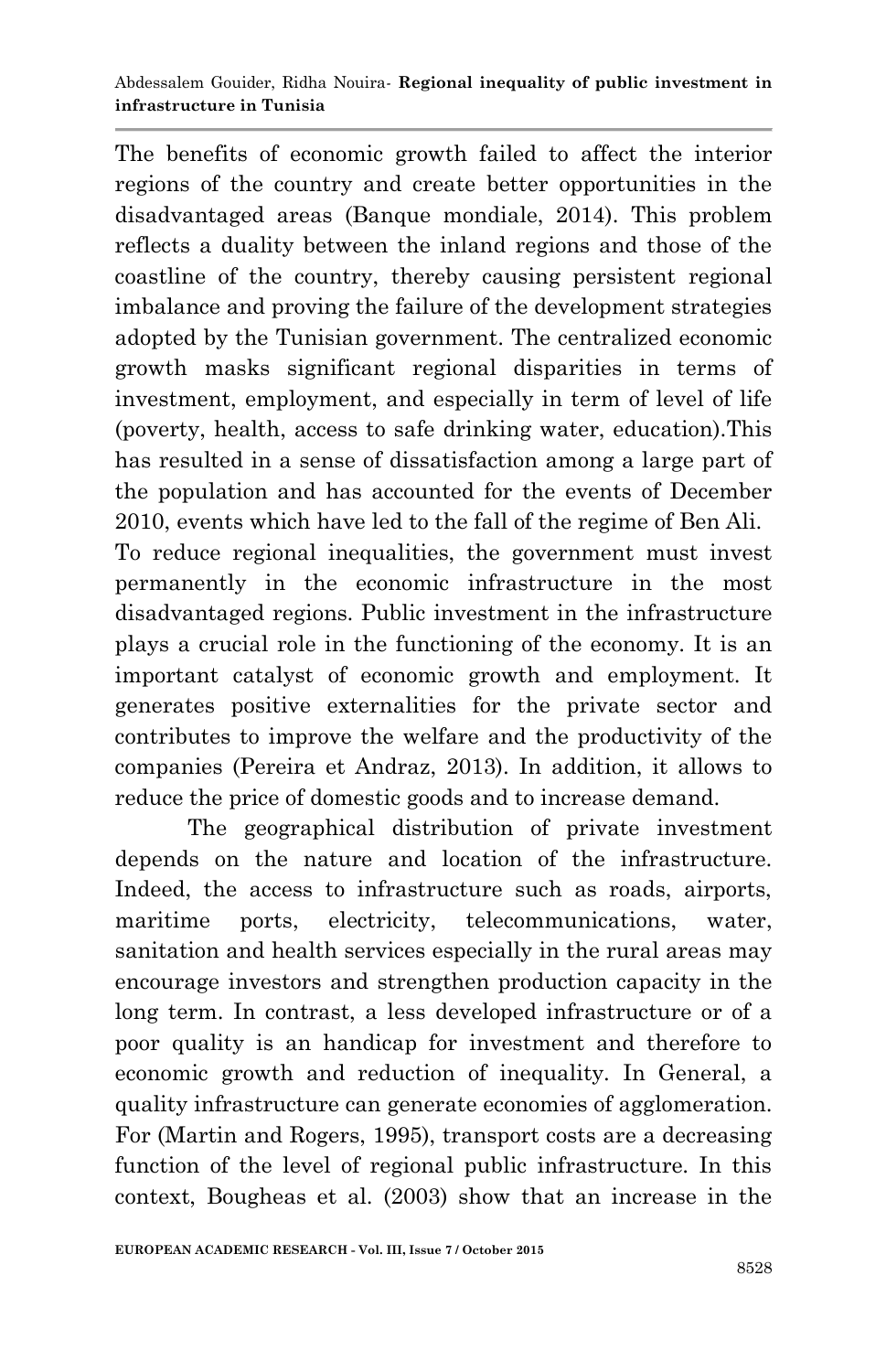The benefits of economic growth failed to affect the interior regions of the country and create better opportunities in the disadvantaged areas (Banque mondiale, 2014). This problem reflects a duality between the inland regions and those of the coastline of the country, thereby causing persistent regional imbalance and proving the failure of the development strategies adopted by the Tunisian government. The centralized economic growth masks significant regional disparities in terms of investment, employment, and especially in term of level of life (poverty, health, access to safe drinking water, education).This has resulted in a sense of dissatisfaction among a large part of the population and has accounted for the events of December 2010, events which have led to the fall of the regime of Ben Ali. To reduce regional inequalities, the government must invest permanently in the economic infrastructure in the most disadvantaged regions. Public investment in the infrastructure plays a crucial role in the functioning of the economy. It is an important catalyst of economic growth and employment. It generates positive externalities for the private sector and contributes to improve the welfare and the productivity of the companies (Pereira et Andraz, 2013). In addition, it allows to

The geographical distribution of private investment depends on the nature and location of the infrastructure. Indeed, the access to infrastructure such as roads, airports, maritime ports, electricity, telecommunications, water, sanitation and health services especially in the rural areas may encourage investors and strengthen production capacity in the long term. In contrast, a less developed infrastructure or of a poor quality is an handicap for investment and therefore to economic growth and reduction of inequality. In General, a quality infrastructure can generate economies of agglomeration. For (Martin and Rogers, 1995), transport costs are a decreasing function of the level of regional public infrastructure. In this context, Bougheas et al. (2003) show that an increase in the

reduce the price of domestic goods and to increase demand.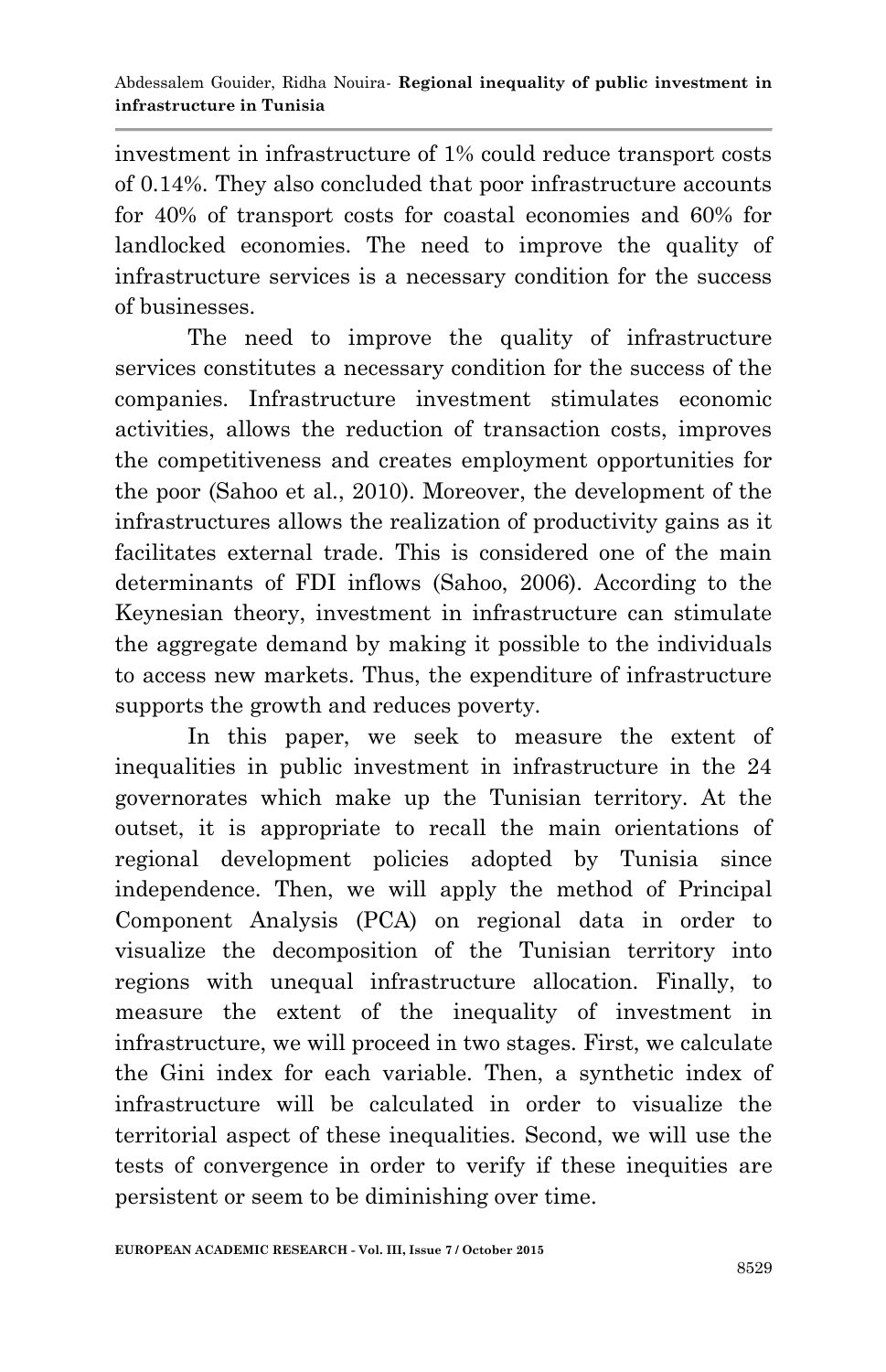investment in infrastructure of 1% could reduce transport costs of 0.14%. They also concluded that poor infrastructure accounts for 40% of transport costs for coastal economies and 60% for landlocked economies. The need to improve the quality of infrastructure services is a necessary condition for the success of businesses.

The need to improve the quality of infrastructure services constitutes a necessary condition for the success of the companies. Infrastructure investment stimulates economic activities, allows the reduction of transaction costs, improves the competitiveness and creates employment opportunities for the poor (Sahoo et al., 2010). Moreover, the development of the infrastructures allows the realization of productivity gains as it facilitates external trade. This is considered one of the main determinants of FDI inflows (Sahoo, 2006). According to the Keynesian theory, investment in infrastructure can stimulate the aggregate demand by making it possible to the individuals to access new markets. Thus, the expenditure of infrastructure supports the growth and reduces poverty.

In this paper, we seek to measure the extent of inequalities in public investment in infrastructure in the 24 governorates which make up the Tunisian territory. At the outset, it is appropriate to recall the main orientations of regional development policies adopted by Tunisia since independence. Then, we will apply the method of Principal Component Analysis (PCA) on regional data in order to visualize the decomposition of the Tunisian territory into regions with unequal infrastructure allocation. Finally, to measure the extent of the inequality of investment in infrastructure, we will proceed in two stages. First, we calculate the Gini index for each variable. Then, a synthetic index of infrastructure will be calculated in order to visualize the territorial aspect of these inequalities. Second, we will use the tests of convergence in order to verify if these inequities are persistent or seem to be diminishing over time.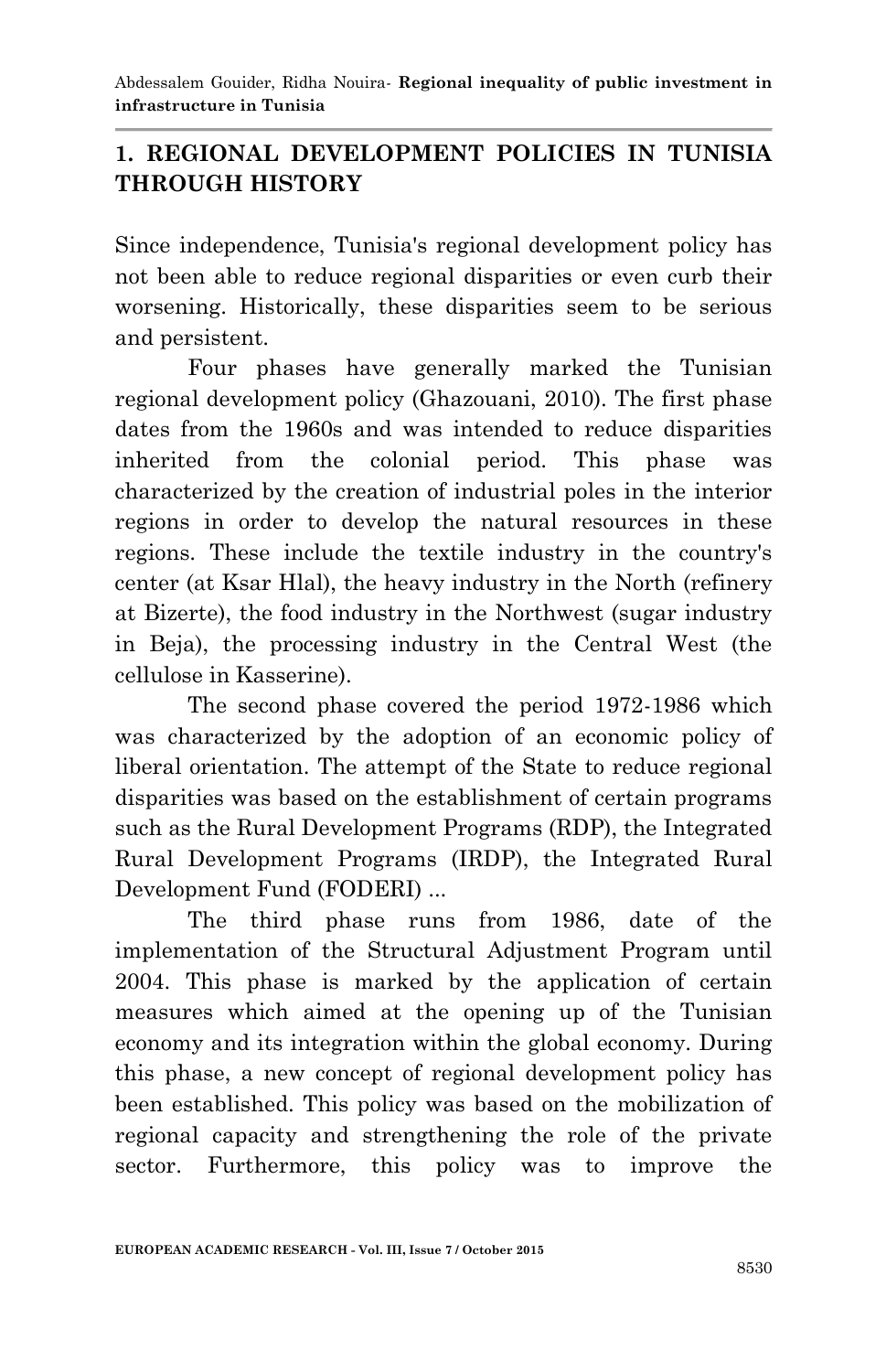## **1. REGIONAL DEVELOPMENT POLICIES IN TUNISIA THROUGH HISTORY**

Since independence, Tunisia's regional development policy has not been able to reduce regional disparities or even curb their worsening. Historically, these disparities seem to be serious and persistent.

Four phases have generally marked the Tunisian regional development policy (Ghazouani, 2010). The first phase dates from the 1960s and was intended to reduce disparities inherited from the colonial period. This phase was characterized by the creation of industrial poles in the interior regions in order to develop the natural resources in these regions. These include the textile industry in the country's center (at Ksar Hlal), the heavy industry in the North (refinery at Bizerte), the food industry in the Northwest (sugar industry in Beja), the processing industry in the Central West (the cellulose in Kasserine).

The second phase covered the period 1972-1986 which was characterized by the adoption of an economic policy of liberal orientation. The attempt of the State to reduce regional disparities was based on the establishment of certain programs such as the Rural Development Programs (RDP), the Integrated Rural Development Programs (IRDP), the Integrated Rural Development Fund (FODERI) ...

The third phase runs from 1986, date of the implementation of the Structural Adjustment Program until 2004. This phase is marked by the application of certain measures which aimed at the opening up of the Tunisian economy and its integration within the global economy. During this phase, a new concept of regional development policy has been established. This policy was based on the mobilization of regional capacity and strengthening the role of the private sector. Furthermore, this policy was to improve the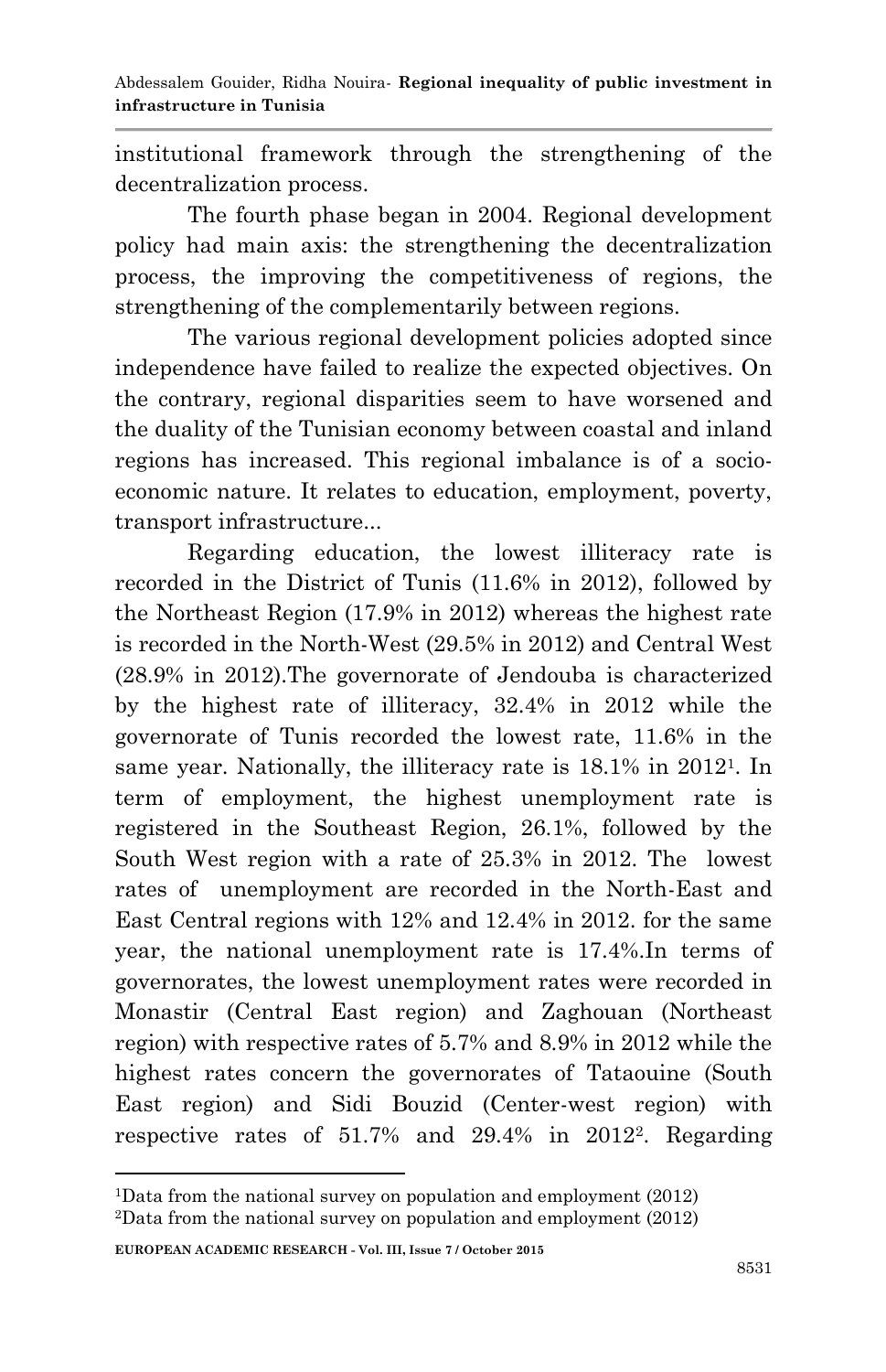institutional framework through the strengthening of the decentralization process.

The fourth phase began in 2004. Regional development policy had main axis: the strengthening the decentralization process, the improving the competitiveness of regions, the strengthening of the complementarily between regions.

The various regional development policies adopted since independence have failed to realize the expected objectives. On the contrary, regional disparities seem to have worsened and the duality of the Tunisian economy between coastal and inland regions has increased. This regional imbalance is of a socioeconomic nature. It relates to education, employment, poverty, transport infrastructure...

Regarding education, the lowest illiteracy rate is recorded in the District of Tunis (11.6% in 2012), followed by the Northeast Region (17.9% in 2012) whereas the highest rate is recorded in the North-West (29.5% in 2012) and Central West (28.9% in 2012).The governorate of Jendouba is characterized by the highest rate of illiteracy, 32.4% in 2012 while the governorate of Tunis recorded the lowest rate, 11.6% in the same year. Nationally, the illiteracy rate is 18.1% in 2012<sup>1</sup> . In term of employment, the highest unemployment rate is registered in the Southeast Region, 26.1%, followed by the South West region with a rate of 25.3% in 2012. The lowest rates of unemployment are recorded in the North-East and East Central regions with 12% and 12.4% in 2012. for the same year, the national unemployment rate is 17.4%.In terms of governorates, the lowest unemployment rates were recorded in Monastir (Central East region) and Zaghouan (Northeast region) with respective rates of 5.7% and 8.9% in 2012 while the highest rates concern the governorates of Tataouine (South East region) and Sidi Bouzid (Center-west region) with respective rates of 51.7% and 29.4% in 2012<sup>2</sup> . Regarding

**EUROPEAN ACADEMIC RESEARCH - Vol. III, Issue 7 / October 2015**

1

<sup>1</sup>Data from the national survey on population and employment (2012) <sup>2</sup>Data from the national survey on population and employment (2012)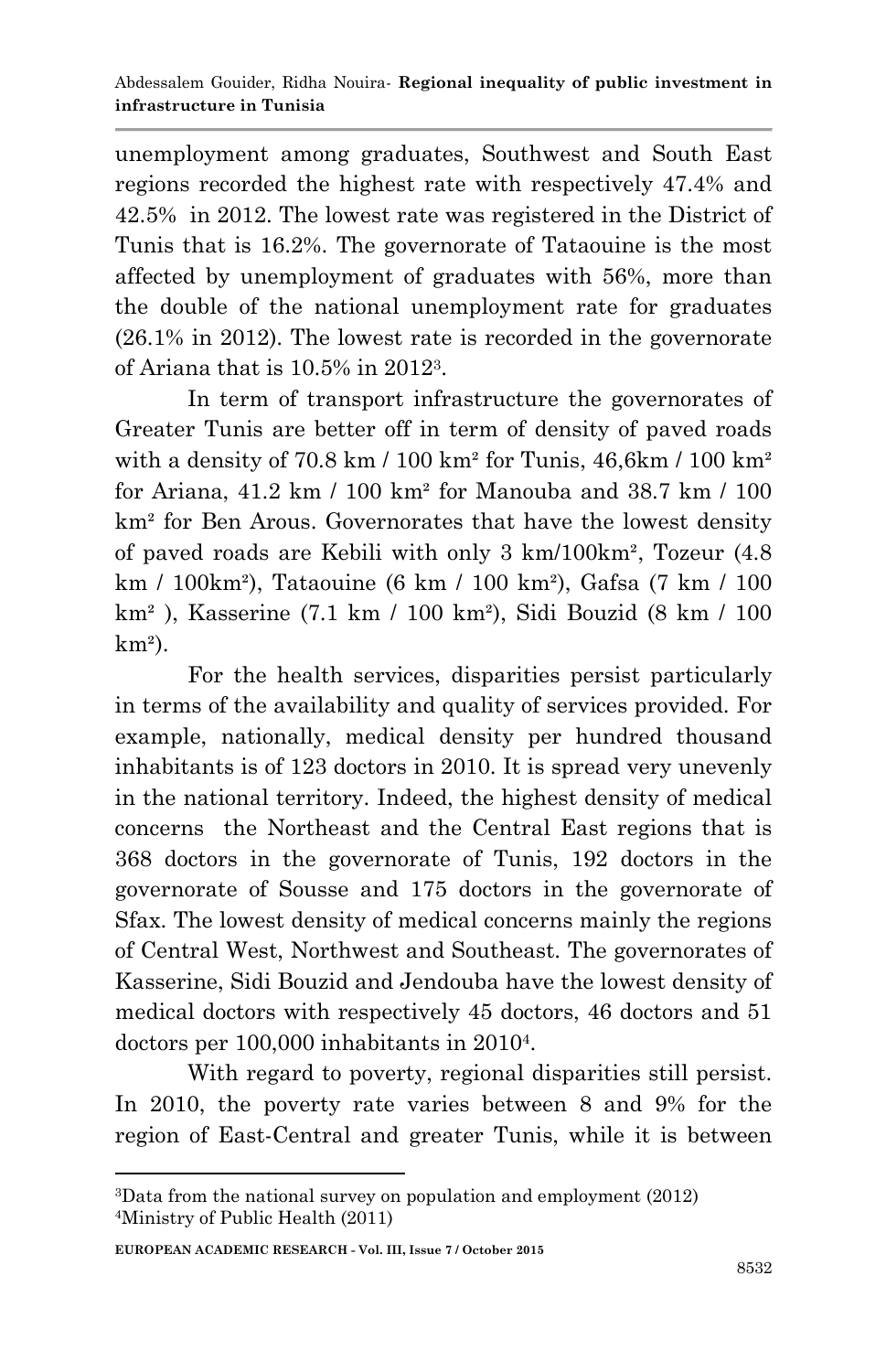unemployment among graduates, Southwest and South East regions recorded the highest rate with respectively 47.4% and 42.5% in 2012. The lowest rate was registered in the District of Tunis that is 16.2%. The governorate of Tataouine is the most affected by unemployment of graduates with 56%, more than the double of the national unemployment rate for graduates (26.1% in 2012). The lowest rate is recorded in the governorate of Ariana that is 10.5% in 2012<sup>3</sup> .

In term of transport infrastructure the governorates of Greater Tunis are better off in term of density of paved roads with a density of  $70.8 \text{ km}$  /  $100 \text{ km}^2$  for Tunis,  $46.6 \text{ km}$  /  $100 \text{ km}^2$ for Ariana, 41.2 km / 100 km² for Manouba and 38.7 km / 100 km² for Ben Arous. Governorates that have the lowest density of paved roads are Kebili with only 3 km/100km², Tozeur (4.8 km / 100km²), Tataouine (6 km / 100 km²), Gafsa (7 km / 100 km² ), Kasserine (7.1 km / 100 km²), Sidi Bouzid (8 km / 100  $km<sup>2</sup>$ ).

For the health services, disparities persist particularly in terms of the availability and quality of services provided. For example, nationally, medical density per hundred thousand inhabitants is of 123 doctors in 2010. It is spread very unevenly in the national territory. Indeed, the highest density of medical concerns the Northeast and the Central East regions that is 368 doctors in the governorate of Tunis, 192 doctors in the governorate of Sousse and 175 doctors in the governorate of Sfax. The lowest density of medical concerns mainly the regions of Central West, Northwest and Southeast. The governorates of Kasserine, Sidi Bouzid and Jendouba have the lowest density of medical doctors with respectively 45 doctors, 46 doctors and 51 doctors per 100,000 inhabitants in 2010<sup>4</sup>.

With regard to poverty, regional disparities still persist. In 2010, the poverty rate varies between 8 and 9% for the region of East-Central and greater Tunis, while it is between

**EUROPEAN ACADEMIC RESEARCH - Vol. III, Issue 7 / October 2015**

1

<sup>3</sup>Data from the national survey on population and employment (2012) 4Ministry of Public Health (2011)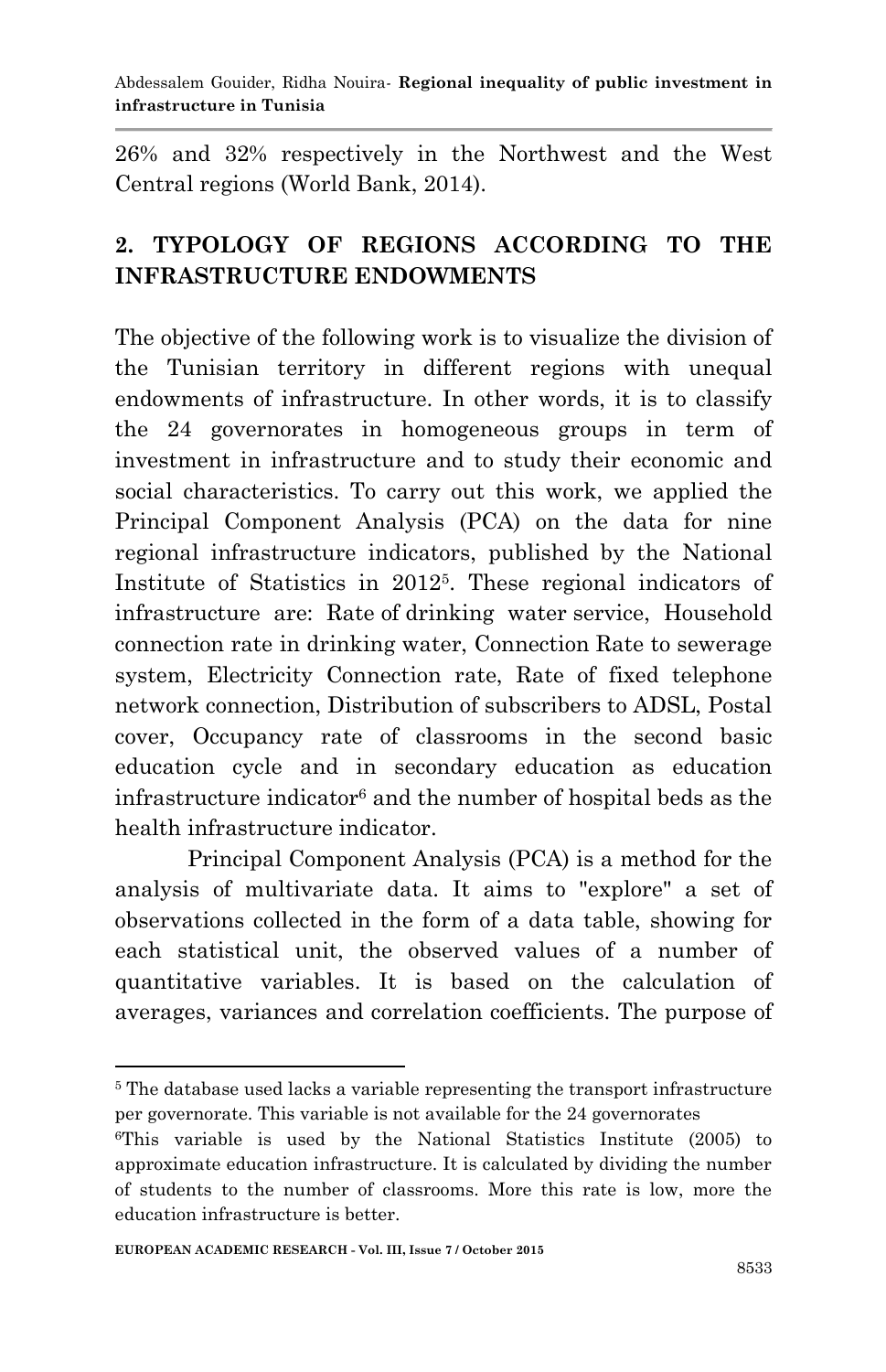26% and 32% respectively in the Northwest and the West Central regions (World Bank, 2014).

# **2. TYPOLOGY OF REGIONS ACCORDING TO THE INFRASTRUCTURE ENDOWMENTS**

The objective of the following work is to visualize the division of the Tunisian territory in different regions with unequal endowments of infrastructure. In other words, it is to classify the 24 governorates in homogeneous groups in term of investment in infrastructure and to study their economic and social characteristics. To carry out this work, we applied the Principal Component Analysis (PCA) on the data for nine regional infrastructure indicators, published by the National Institute of Statistics in 2012<sup>5</sup> . These regional indicators of infrastructure are: Rate of drinking water service, Household connection rate in drinking water, Connection Rate to sewerage system, Electricity Connection rate, Rate of fixed telephone network connection, Distribution of subscribers to ADSL, Postal cover, Occupancy rate of classrooms in the second basic education cycle and in secondary education as education infrastructure indicator<sup>6</sup> and the number of hospital beds as the health infrastructure indicator.

Principal Component Analysis (PCA) is a method for the analysis of multivariate data. It aims to "explore" a set of observations collected in the form of a data table, showing for each statistical unit, the observed values of a number of quantitative variables. It is based on the calculation of averages, variances and correlation coefficients. The purpose of

**<sup>.</sup>** <sup>5</sup> The database used lacks a variable representing the transport infrastructure per governorate. This variable is not available for the 24 governorates

<sup>6</sup>This variable is used by the National Statistics Institute (2005) to approximate education infrastructure. It is calculated by dividing the number of students to the number of classrooms. More this rate is low, more the education infrastructure is better.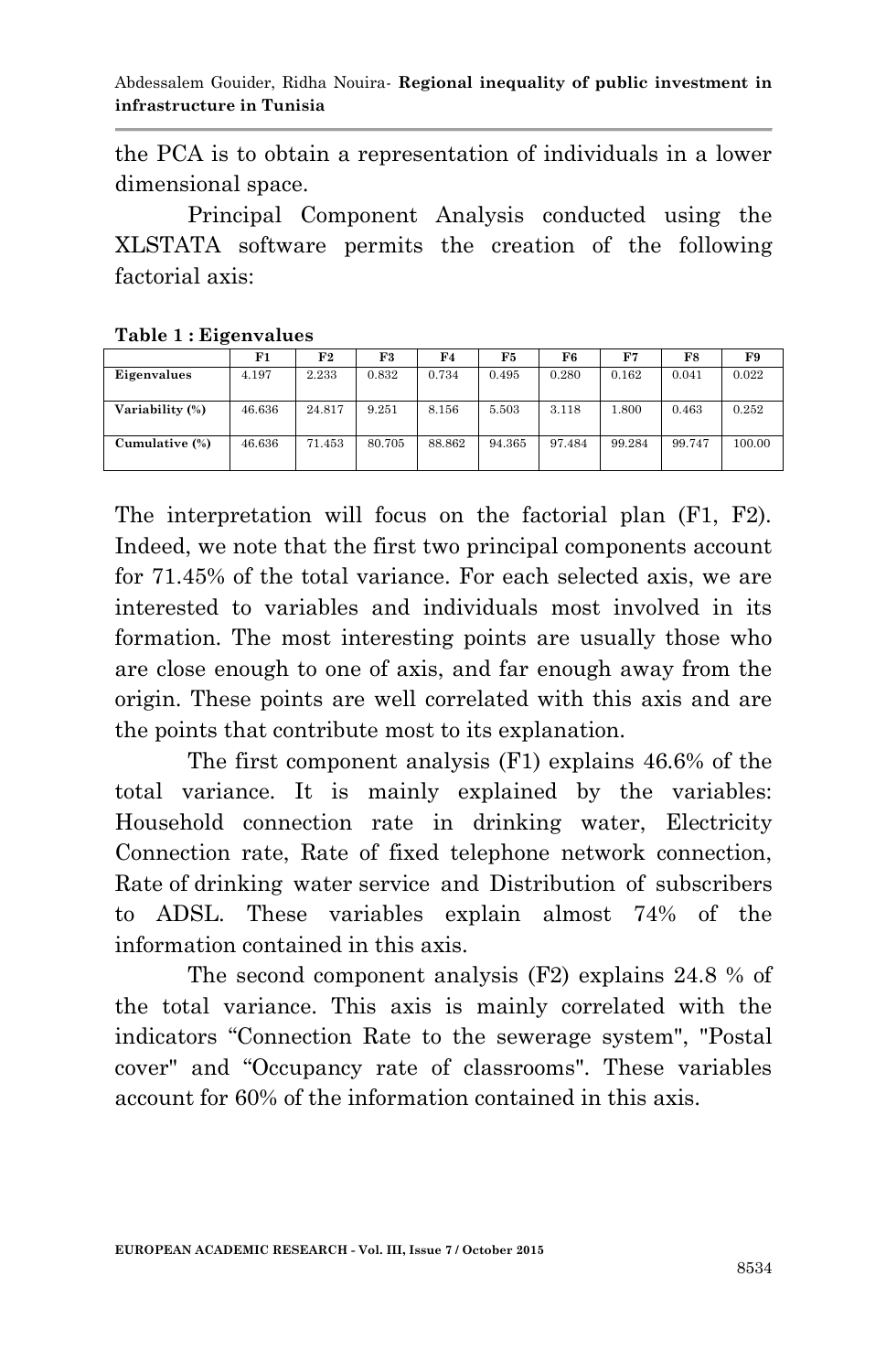the PCA is to obtain a representation of individuals in a lower dimensional space.

Principal Component Analysis conducted using the XLSTATA software permits the creation of the following factorial axis:

|                 | F1     | F2     | F3     | F4     | F5     | F6     | F7     | F8     | F9     |
|-----------------|--------|--------|--------|--------|--------|--------|--------|--------|--------|
| Eigenvalues     | 4.197  | 2.233  | 0.832  | 0.734  | 0.495  | 0.280  | 0.162  | 0.041  | 0.022  |
| Variability (%) | 46.636 | 24.817 | 9.251  | 8.156  | 5.503  | 3.118  | 1.800  | 0.463  | 0.252  |
| Cumulative (%)  | 46.636 | 71.453 | 80.705 | 88.862 | 94.365 | 97.484 | 99.284 | 99.747 | 100.00 |

**Table 1 : Eigenvalues**

The interpretation will focus on the factorial plan (F1, F2). Indeed, we note that the first two principal components account for 71.45% of the total variance. For each selected axis, we are interested to variables and individuals most involved in its formation. The most interesting points are usually those who are close enough to one of axis, and far enough away from the origin. These points are well correlated with this axis and are the points that contribute most to its explanation.

The first component analysis (F1) explains 46.6% of the total variance. It is mainly explained by the variables: Household connection rate in drinking water, Electricity Connection rate, Rate of fixed telephone network connection, Rate of drinking water service and Distribution of subscribers to ADSL. These variables explain almost 74% of the information contained in this axis.

The second component analysis (F2) explains 24.8 % of the total variance. This axis is mainly correlated with the indicators "Connection Rate to the sewerage system", "Postal cover" and "Occupancy rate of classrooms". These variables account for 60% of the information contained in this axis.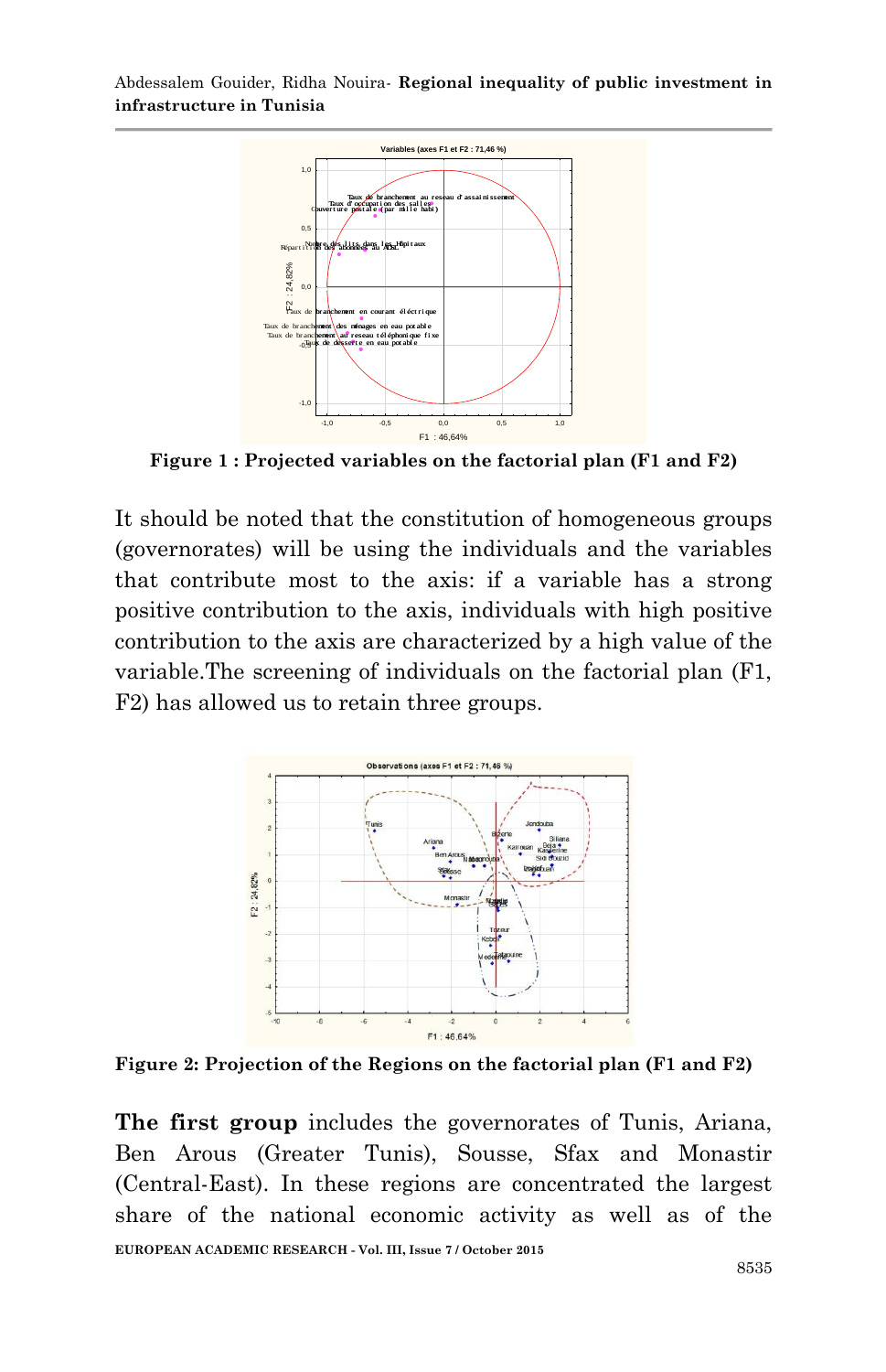

**Figure 1 : Projected variables on the factorial plan (F1 and F2)**

It should be noted that the constitution of homogeneous groups (governorates) will be using the individuals and the variables that contribute most to the axis: if a variable has a strong positive contribution to the axis, individuals with high positive contribution to the axis are characterized by a high value of the variable.The screening of individuals on the factorial plan (F1, F2) has allowed us to retain three groups.



**Figure 2: Projection of the Regions on the factorial plan (F1 and F2)**

**EUROPEAN ACADEMIC RESEARCH - Vol. III, Issue 7 / October 2015 The first group** includes the governorates of Tunis, Ariana, Ben Arous (Greater Tunis), Sousse, Sfax and Monastir (Central-East). In these regions are concentrated the largest share of the national economic activity as well as of the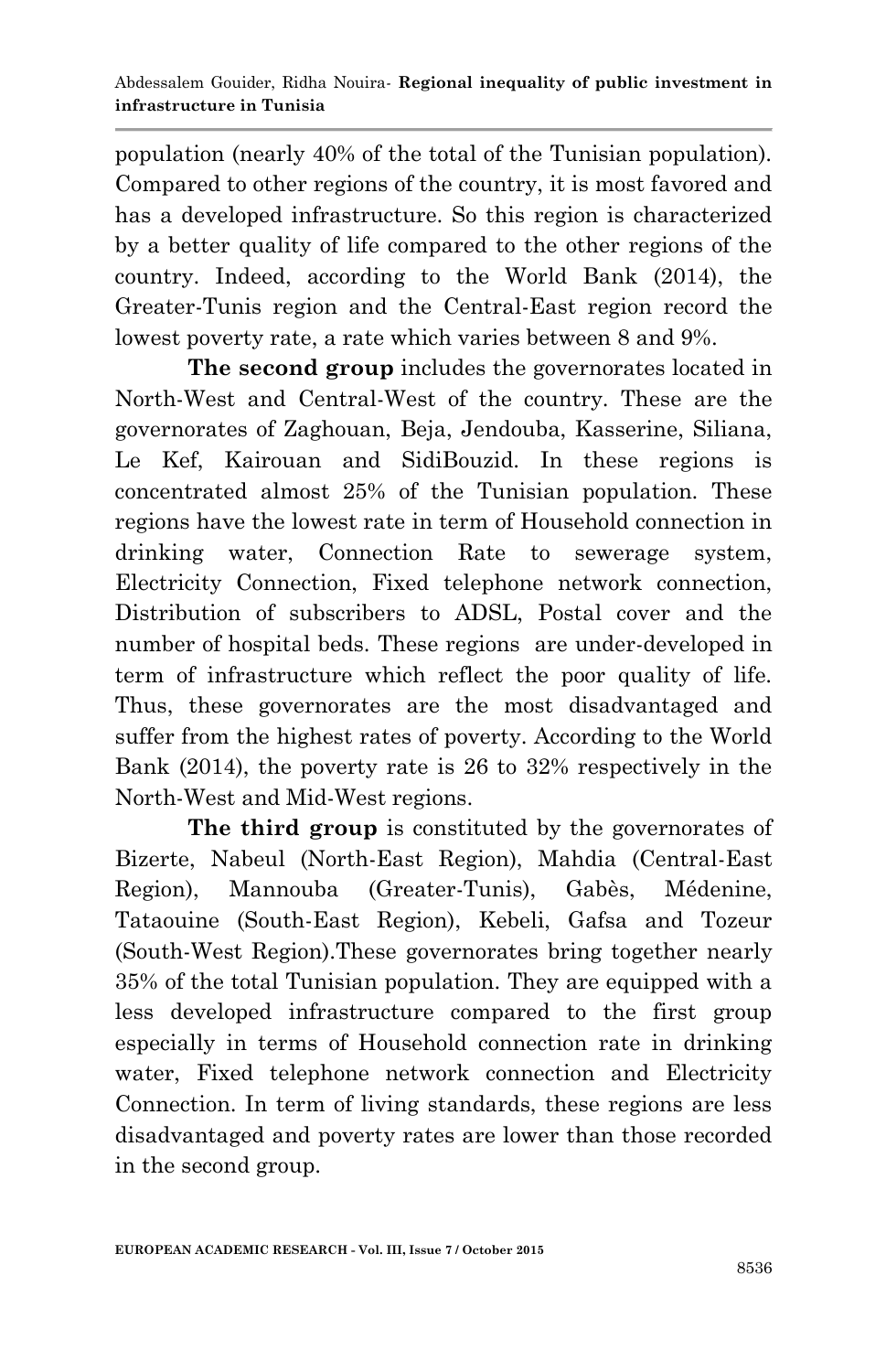population (nearly 40% of the total of the Tunisian population). Compared to other regions of the country, it is most favored and has a developed infrastructure. So this region is characterized by a better quality of life compared to the other regions of the country. Indeed, according to the World Bank (2014), the Greater-Tunis region and the Central-East region record the lowest poverty rate, a rate which varies between 8 and 9%.

**The second group** includes the governorates located in North-West and Central-West of the country. These are the governorates of Zaghouan, Beja, Jendouba, Kasserine, Siliana, Le Kef, Kairouan and SidiBouzid. In these regions is concentrated almost 25% of the Tunisian population. These regions have the lowest rate in term of Household connection in drinking water, Connection Rate to sewerage system, Electricity Connection, Fixed telephone network connection, Distribution of subscribers to ADSL, Postal cover and the number of hospital beds. These regions are under-developed in term of infrastructure which reflect the poor quality of life. Thus, these governorates are the most disadvantaged and suffer from the highest rates of poverty. According to the World Bank (2014), the poverty rate is 26 to 32% respectively in the North-West and Mid-West regions.

**The third group** is constituted by the governorates of Bizerte, Nabeul (North-East Region), Mahdia (Central-East Region), Mannouba (Greater-Tunis), Gabès, Médenine, Tataouine (South-East Region), Kebeli, Gafsa and Tozeur (South-West Region).These governorates bring together nearly 35% of the total Tunisian population. They are equipped with a less developed infrastructure compared to the first group especially in terms of Household connection rate in drinking water, Fixed telephone network connection and Electricity Connection. In term of living standards, these regions are less disadvantaged and poverty rates are lower than those recorded in the second group.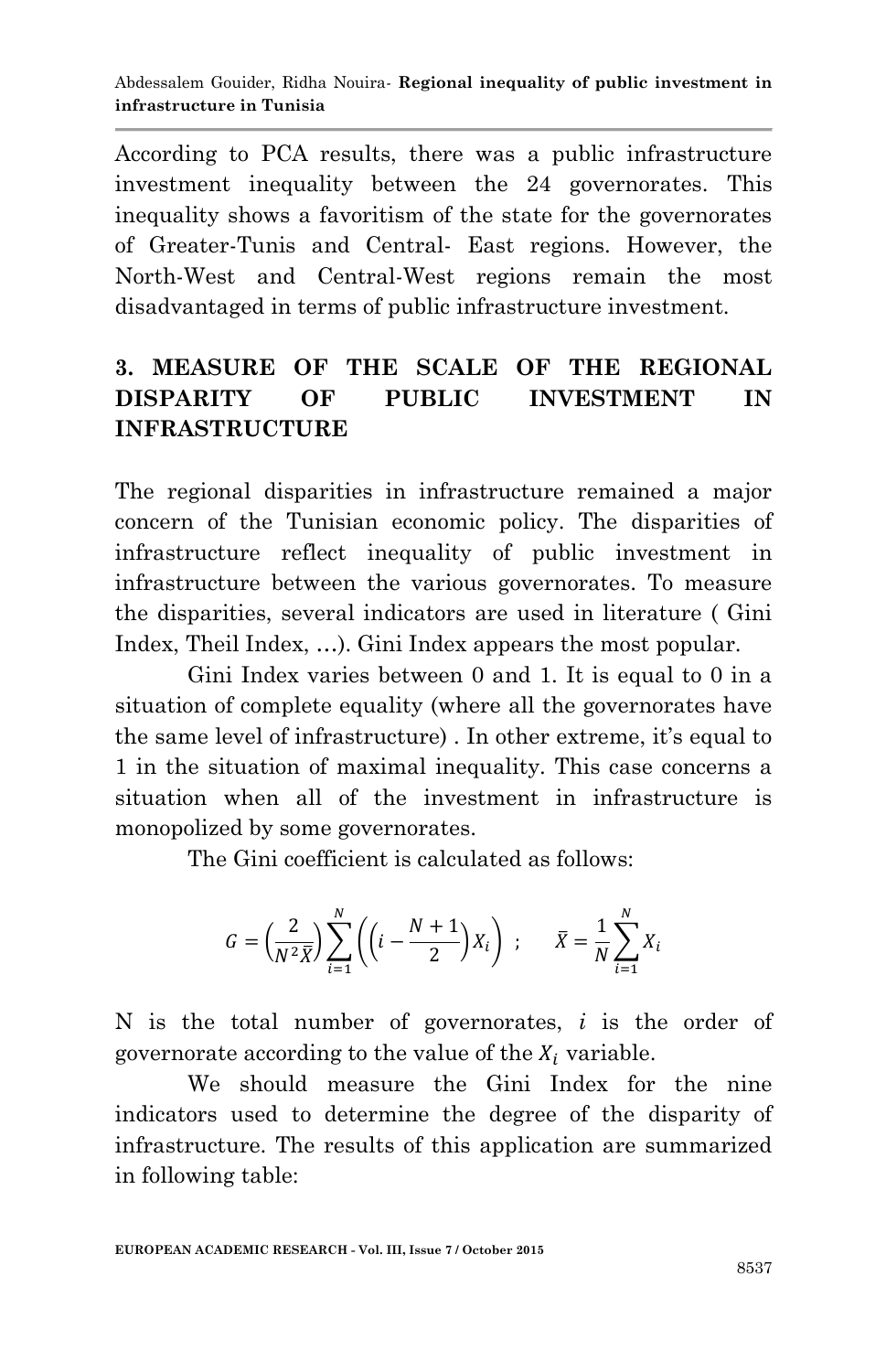According to PCA results, there was a public infrastructure investment inequality between the 24 governorates. This inequality shows a favoritism of the state for the governorates of Greater-Tunis and Central- East regions. However, the North-West and Central-West regions remain the most disadvantaged in terms of public infrastructure investment.

## **3. MEASURE OF THE SCALE OF THE REGIONAL DISPARITY OF PUBLIC INVESTMENT IN INFRASTRUCTURE**

The regional disparities in infrastructure remained a major concern of the Tunisian economic policy. The disparities of infrastructure reflect inequality of public investment in infrastructure between the various governorates. To measure the disparities, several indicators are used in literature ( Gini Index, Theil Index, …). Gini Index appears the most popular.

Gini Index varies between 0 and 1. It is equal to 0 in a situation of complete equality (where all the governorates have the same level of infrastructure) . In other extreme, it's equal to 1 in the situation of maximal inequality. This case concerns a situation when all of the investment in infrastructure is monopolized by some governorates.

The Gini coefficient is calculated as follows:

$$
G = \left(\frac{2}{N^2 \bar{X}}\right) \sum_{i=1}^N \left( \left(i - \frac{N+1}{2}\right) X_i \right) ; \qquad \bar{X} = \frac{1}{N} \sum_{i=1}^N X_i
$$

N is the total number of governorates, *i* is the order of governorate according to the value of the  $X_i$  variable.

We should measure the Gini Index for the nine indicators used to determine the degree of the disparity of infrastructure. The results of this application are summarized in following table: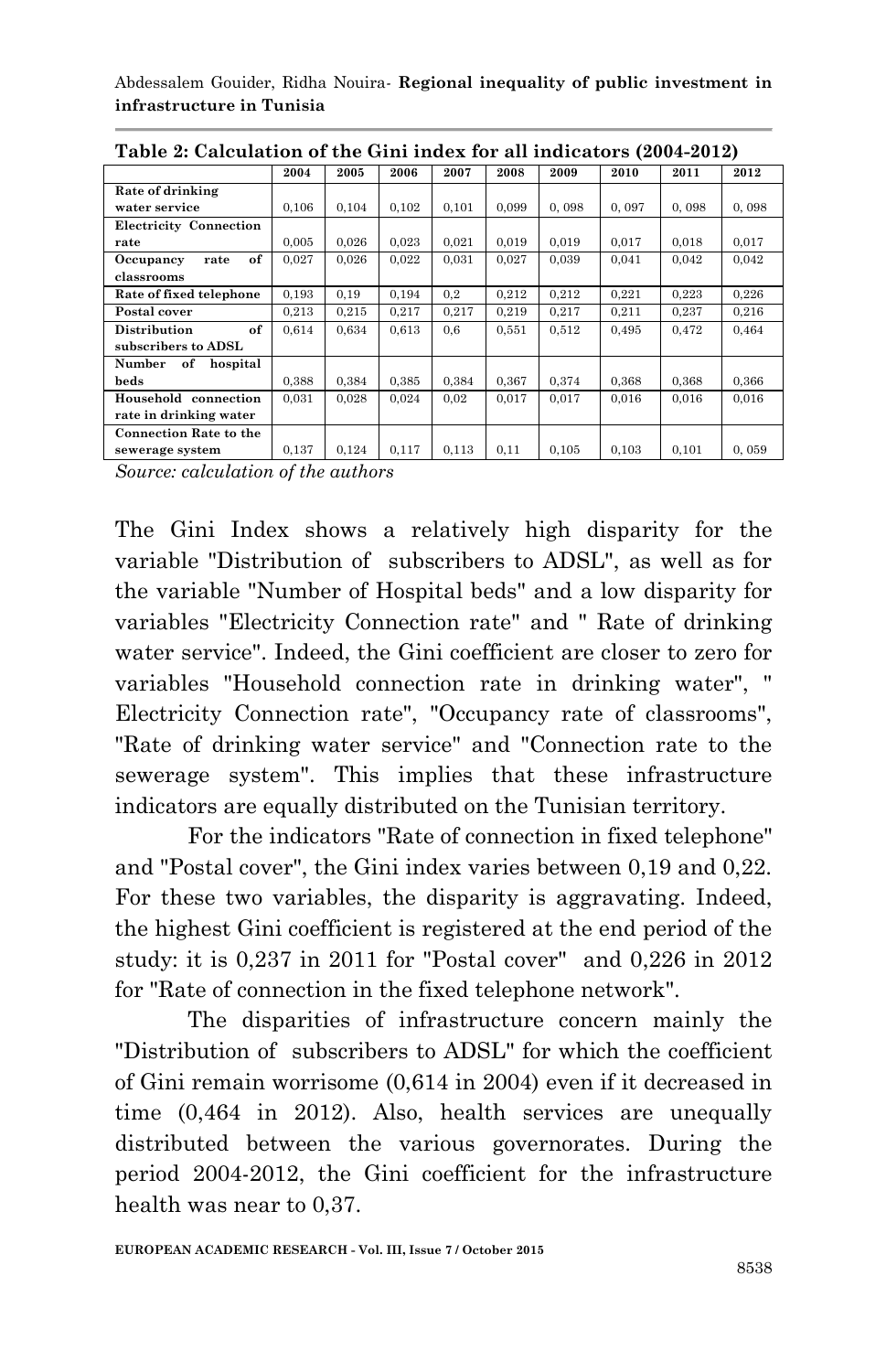Abdessalem Gouider, Ridha Nouira*-* **Regional inequality of public investment in infrastructure in Tunisia**

|                               | Table 2. Calcalation of the Gini mack for an indicators (2001-2012) |       |       |       |       |       |       |       |       |
|-------------------------------|---------------------------------------------------------------------|-------|-------|-------|-------|-------|-------|-------|-------|
|                               | 2004                                                                | 2005  | 2006  | 2007  | 2008  | 2009  | 2010  | 2011  | 2012  |
| Rate of drinking              |                                                                     |       |       |       |       |       |       |       |       |
| water service                 | 0.106                                                               | 0.104 | 0.102 | 0.101 | 0.099 | 0.098 | 0.097 | 0.098 | 0,098 |
| <b>Electricity Connection</b> |                                                                     |       |       |       |       |       |       |       |       |
| rate                          | 0.005                                                               | 0,026 | 0,023 | 0,021 | 0.019 | 0,019 | 0,017 | 0,018 | 0,017 |
| of<br>Occupancy<br>rate       | 0.027                                                               | 0.026 | 0.022 | 0.031 | 0.027 | 0.039 | 0,041 | 0.042 | 0.042 |
| classrooms                    |                                                                     |       |       |       |       |       |       |       |       |
| Rate of fixed telephone       | 0.193                                                               | 0,19  | 0.194 | 0,2   | 0.212 | 0.212 | 0,221 | 0.223 | 0.226 |
| Postal cover                  | 0,213                                                               | 0,215 | 0,217 | 0,217 | 0,219 | 0,217 | 0,211 | 0,237 | 0,216 |
| of<br>Distribution            | 0.614                                                               | 0.634 | 0.613 | 0,6   | 0,551 | 0,512 | 0,495 | 0,472 | 0,464 |
| subscribers to ADSL           |                                                                     |       |       |       |       |       |       |       |       |
| Number<br>of<br>hospital      |                                                                     |       |       |       |       |       |       |       |       |
| beds                          | 0.388                                                               | 0.384 | 0.385 | 0.384 | 0.367 | 0,374 | 0,368 | 0,368 | 0,366 |
| Household connection          | 0,031                                                               | 0,028 | 0,024 | 0,02  | 0,017 | 0,017 | 0,016 | 0,016 | 0,016 |
| rate in drinking water        |                                                                     |       |       |       |       |       |       |       |       |
| <b>Connection Rate to the</b> |                                                                     |       |       |       |       |       |       |       |       |
| sewerage system               | 0.137                                                               | 0.124 | 0,117 | 0,113 | 0,11  | 0.105 | 0.103 | 0.101 | 0,059 |

**Table 2: Calculation of the Gini index for all indicators (2004-2012)**

*Source: calculation of the authors*

The Gini Index shows a relatively high disparity for the variable "Distribution of subscribers to ADSL", as well as for the variable "Number of Hospital beds" and a low disparity for variables "Electricity Connection rate" and " Rate of drinking water service". Indeed, the Gini coefficient are closer to zero for variables "Household connection rate in drinking water", " Electricity Connection rate", "Occupancy rate of classrooms", "Rate of drinking water service" and "Connection rate to the sewerage system". This implies that these infrastructure indicators are equally distributed on the Tunisian territory.

For the indicators "Rate of connection in fixed telephone" and "Postal cover", the Gini index varies between 0,19 and 0,22. For these two variables, the disparity is aggravating. Indeed, the highest Gini coefficient is registered at the end period of the study: it is 0,237 in 2011 for "Postal cover" and 0,226 in 2012 for "Rate of connection in the fixed telephone network".

The disparities of infrastructure concern mainly the "Distribution of subscribers to ADSL" for which the coefficient of Gini remain worrisome (0,614 in 2004) even if it decreased in time (0,464 in 2012). Also, health services are unequally distributed between the various governorates. During the period 2004-2012, the Gini coefficient for the infrastructure health was near to 0,37.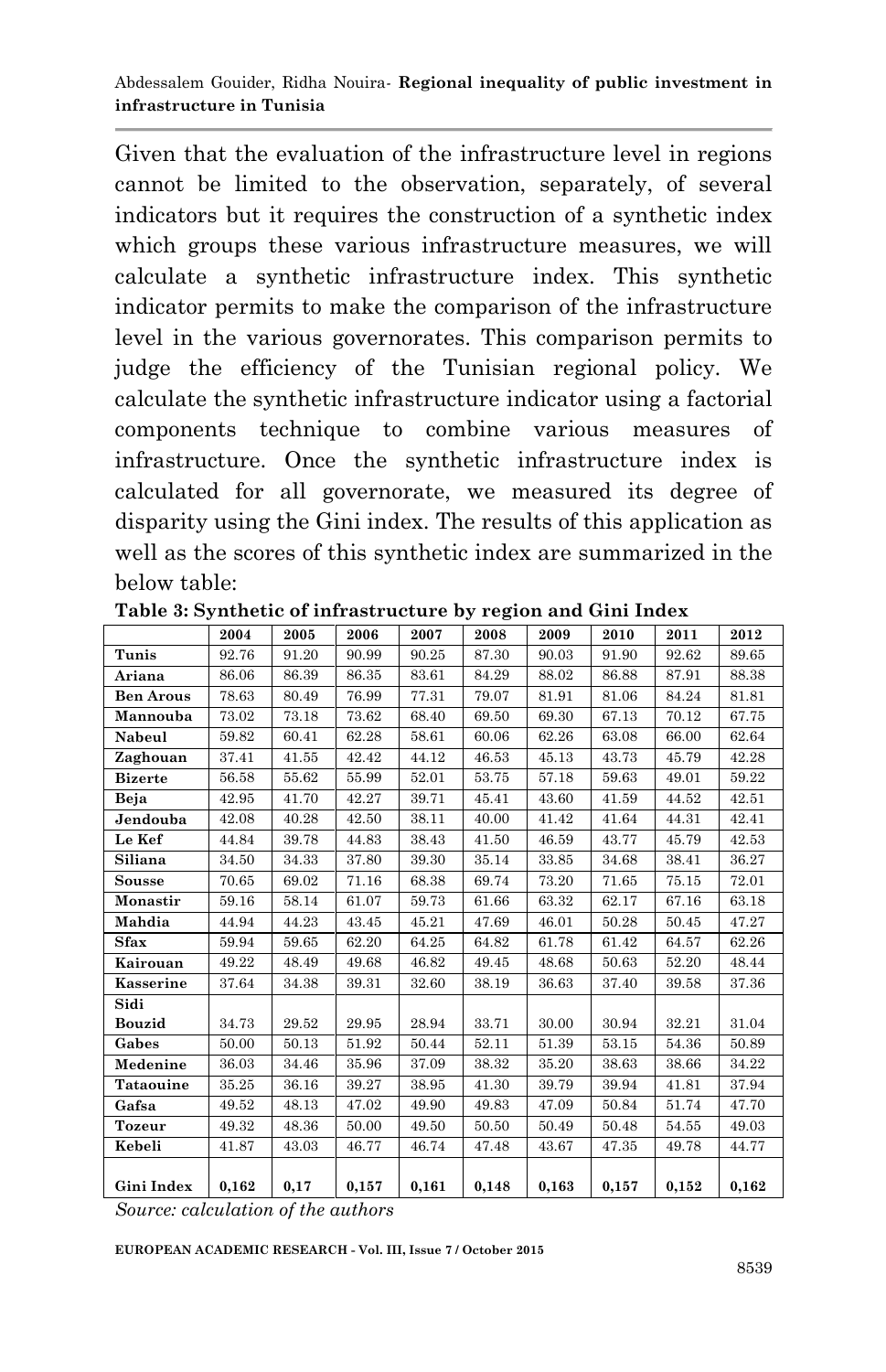Given that the evaluation of the infrastructure level in regions cannot be limited to the observation, separately, of several indicators but it requires the construction of a synthetic index which groups these various infrastructure measures, we will calculate a synthetic infrastructure index. This synthetic indicator permits to make the comparison of the infrastructure level in the various governorates. This comparison permits to judge the efficiency of the Tunisian regional policy. We calculate the synthetic infrastructure indicator using a factorial components technique to combine various measures of infrastructure. Once the synthetic infrastructure index is calculated for all governorate, we measured its degree of disparity using the Gini index. The results of this application as well as the scores of this synthetic index are summarized in the below table:

|                  | 2004  | 2005  | 2006  | 2007  | 2008  | 2009  | 2010  | 2011  | 2012  |
|------------------|-------|-------|-------|-------|-------|-------|-------|-------|-------|
| Tunis            | 92.76 | 91.20 | 90.99 | 90.25 | 87.30 | 90.03 | 91.90 | 92.62 | 89.65 |
| Ariana           | 86.06 | 86.39 | 86.35 | 83.61 | 84.29 | 88.02 | 86.88 | 87.91 | 88.38 |
| <b>Ben Arous</b> | 78.63 | 80.49 | 76.99 | 77.31 | 79.07 | 81.91 | 81.06 | 84.24 | 81.81 |
| Mannouba         | 73.02 | 73.18 | 73.62 | 68.40 | 69.50 | 69.30 | 67.13 | 70.12 | 67.75 |
| Nabeul           | 59.82 | 60.41 | 62.28 | 58.61 | 60.06 | 62.26 | 63.08 | 66.00 | 62.64 |
| Zaghouan         | 37.41 | 41.55 | 42.42 | 44.12 | 46.53 | 45.13 | 43.73 | 45.79 | 42.28 |
| <b>Bizerte</b>   | 56.58 | 55.62 | 55.99 | 52.01 | 53.75 | 57.18 | 59.63 | 49.01 | 59.22 |
| Beja             | 42.95 | 41.70 | 42.27 | 39.71 | 45.41 | 43.60 | 41.59 | 44.52 | 42.51 |
| Jendouba         | 42.08 | 40.28 | 42.50 | 38.11 | 40.00 | 41.42 | 41.64 | 44.31 | 42.41 |
| Le Kef           | 44.84 | 39.78 | 44.83 | 38.43 | 41.50 | 46.59 | 43.77 | 45.79 | 42.53 |
| Siliana          | 34.50 | 34.33 | 37.80 | 39.30 | 35.14 | 33.85 | 34.68 | 38.41 | 36.27 |
| <b>Sousse</b>    | 70.65 | 69.02 | 71.16 | 68.38 | 69.74 | 73.20 | 71.65 | 75.15 | 72.01 |
| Monastir         | 59.16 | 58.14 | 61.07 | 59.73 | 61.66 | 63.32 | 62.17 | 67.16 | 63.18 |
| Mahdia           | 44.94 | 44.23 | 43.45 | 45.21 | 47.69 | 46.01 | 50.28 | 50.45 | 47.27 |
| <b>Sfax</b>      | 59.94 | 59.65 | 62.20 | 64.25 | 64.82 | 61.78 | 61.42 | 64.57 | 62.26 |
| Kairouan         | 49.22 | 48.49 | 49.68 | 46.82 | 49.45 | 48.68 | 50.63 | 52.20 | 48.44 |
| Kasserine        | 37.64 | 34.38 | 39.31 | 32.60 | 38.19 | 36.63 | 37.40 | 39.58 | 37.36 |
| Sidi             |       |       |       |       |       |       |       |       |       |
| Bouzid           | 34.73 | 29.52 | 29.95 | 28.94 | 33.71 | 30.00 | 30.94 | 32.21 | 31.04 |
| Gabes            | 50.00 | 50.13 | 51.92 | 50.44 | 52.11 | 51.39 | 53.15 | 54.36 | 50.89 |
| Medenine         | 36.03 | 34.46 | 35.96 | 37.09 | 38.32 | 35.20 | 38.63 | 38.66 | 34.22 |
| Tataouine        | 35.25 | 36.16 | 39.27 | 38.95 | 41.30 | 39.79 | 39.94 | 41.81 | 37.94 |
| Gafsa            | 49.52 | 48.13 | 47.02 | 49.90 | 49.83 | 47.09 | 50.84 | 51.74 | 47.70 |
| <b>Tozeur</b>    | 49.32 | 48.36 | 50.00 | 49.50 | 50.50 | 50.49 | 50.48 | 54.55 | 49.03 |
| Kebeli           | 41.87 | 43.03 | 46.77 | 46.74 | 47.48 | 43.67 | 47.35 | 49.78 | 44.77 |
| Gini Index       | 0.162 | 0,17  | 0,157 | 0.161 | 0,148 | 0.163 | 0,157 | 0,152 | 0,162 |
|                  |       |       |       |       |       |       |       |       |       |

**Table 3: Synthetic of infrastructure by region and Gini Index**

*Source: calculation of the authors*

**EUROPEAN ACADEMIC RESEARCH - Vol. III, Issue 7 / October 2015**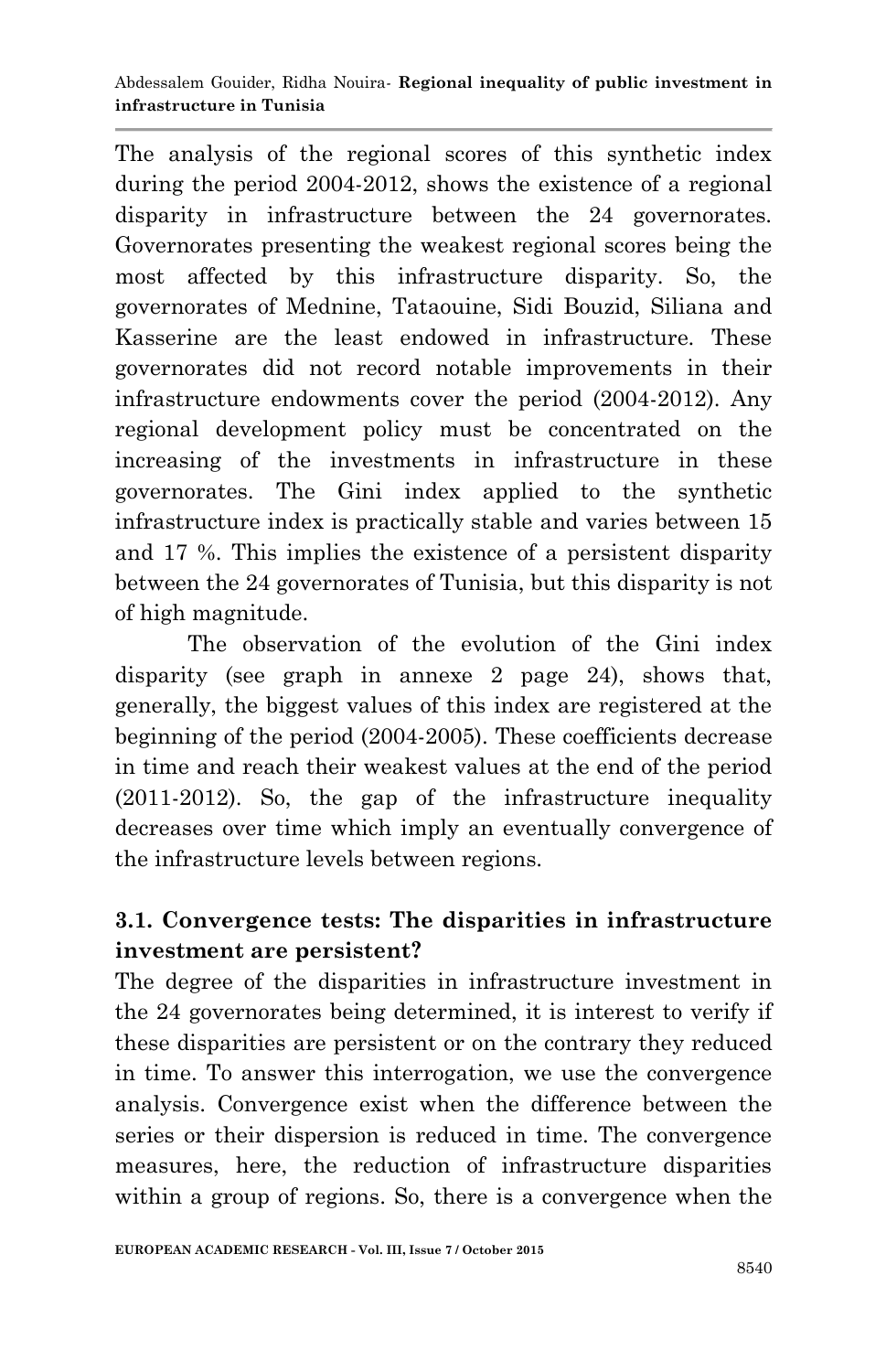The analysis of the regional scores of this synthetic index during the period 2004-2012, shows the existence of a regional disparity in infrastructure between the 24 governorates. Governorates presenting the weakest regional scores being the most affected by this infrastructure disparity. So, the governorates of Mednine, Tataouine, Sidi Bouzid, Siliana and Kasserine are the least endowed in infrastructure. These governorates did not record notable improvements in their infrastructure endowments cover the period (2004-2012). Any regional development policy must be concentrated on the increasing of the investments in infrastructure in these governorates. The Gini index applied to the synthetic infrastructure index is practically stable and varies between 15 and 17 %. This implies the existence of a persistent disparity between the 24 governorates of Tunisia, but this disparity is not of high magnitude.

The observation of the evolution of the Gini index disparity (see graph in annexe 2 page 24), shows that, generally, the biggest values of this index are registered at the beginning of the period (2004-2005). These coefficients decrease in time and reach their weakest values at the end of the period (2011-2012). So, the gap of the infrastructure inequality decreases over time which imply an eventually convergence of the infrastructure levels between regions.

## **3.1. Convergence tests: The disparities in infrastructure investment are persistent?**

The degree of the disparities in infrastructure investment in the 24 governorates being determined, it is interest to verify if these disparities are persistent or on the contrary they reduced in time. To answer this interrogation, we use the convergence analysis. Convergence exist when the difference between the series or their dispersion is reduced in time. The convergence measures, here, the reduction of infrastructure disparities within a group of regions. So, there is a convergence when the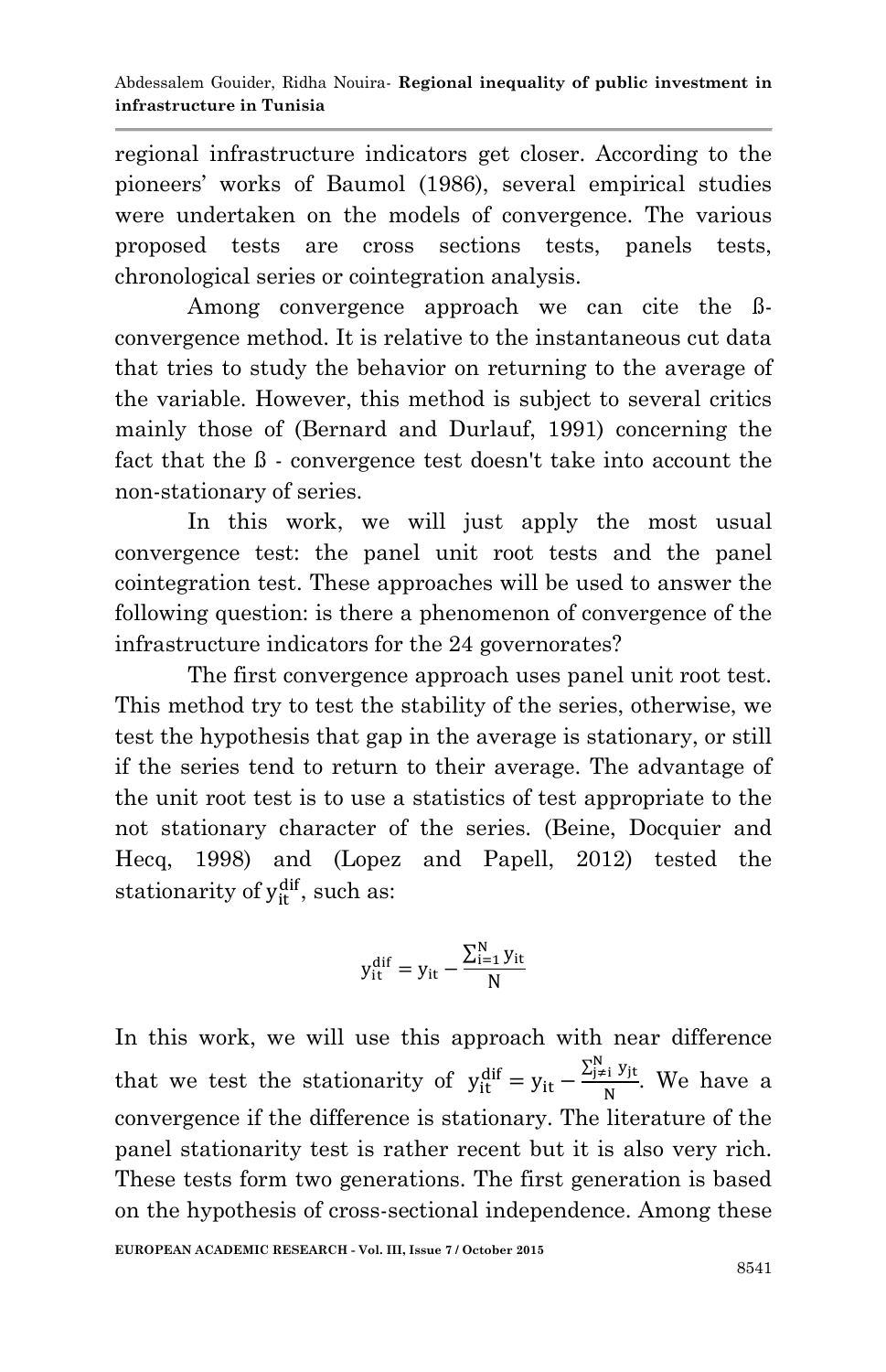regional infrastructure indicators get closer. According to the pioneers' works of Baumol (1986), several empirical studies were undertaken on the models of convergence. The various proposed tests are cross sections tests, panels tests, chronological series or cointegration analysis.

Among convergence approach we can cite the ßconvergence method. It is relative to the instantaneous cut data that tries to study the behavior on returning to the average of the variable. However, this method is subject to several critics mainly those of (Bernard and Durlauf, 1991) concerning the fact that the ß - convergence test doesn't take into account the non-stationary of series.

In this work, we will just apply the most usual convergence test: the panel unit root tests and the panel cointegration test. These approaches will be used to answer the following question: is there a phenomenon of convergence of the infrastructure indicators for the 24 governorates?

The first convergence approach uses panel unit root test. This method try to test the stability of the series, otherwise, we test the hypothesis that gap in the average is stationary, or still if the series tend to return to their average. The advantage of the unit root test is to use a statistics of test appropriate to the not stationary character of the series. (Beine, Docquier and Hecq, 1998) and (Lopez and Papell, 2012) tested the stationarity of  $y_{it}^{dif}$ , such as:

$$
y_{it}^{dif}=y_{it}-\frac{\sum_{i=1}^{N}y_{it}}{N}
$$

In this work, we will use this approach with near difference that we test the stationarity of  $y_{it}^{dif} = y_{it} - \frac{\sum_{j=1}^{N} y_j}{\sum_{j=1}^{N} y_j}$  $\frac{f_1 y f_1}{N}$ . We have a convergence if the difference is stationary. The literature of the panel stationarity test is rather recent but it is also very rich. These tests form two generations. The first generation is based on the hypothesis of cross-sectional independence. Among these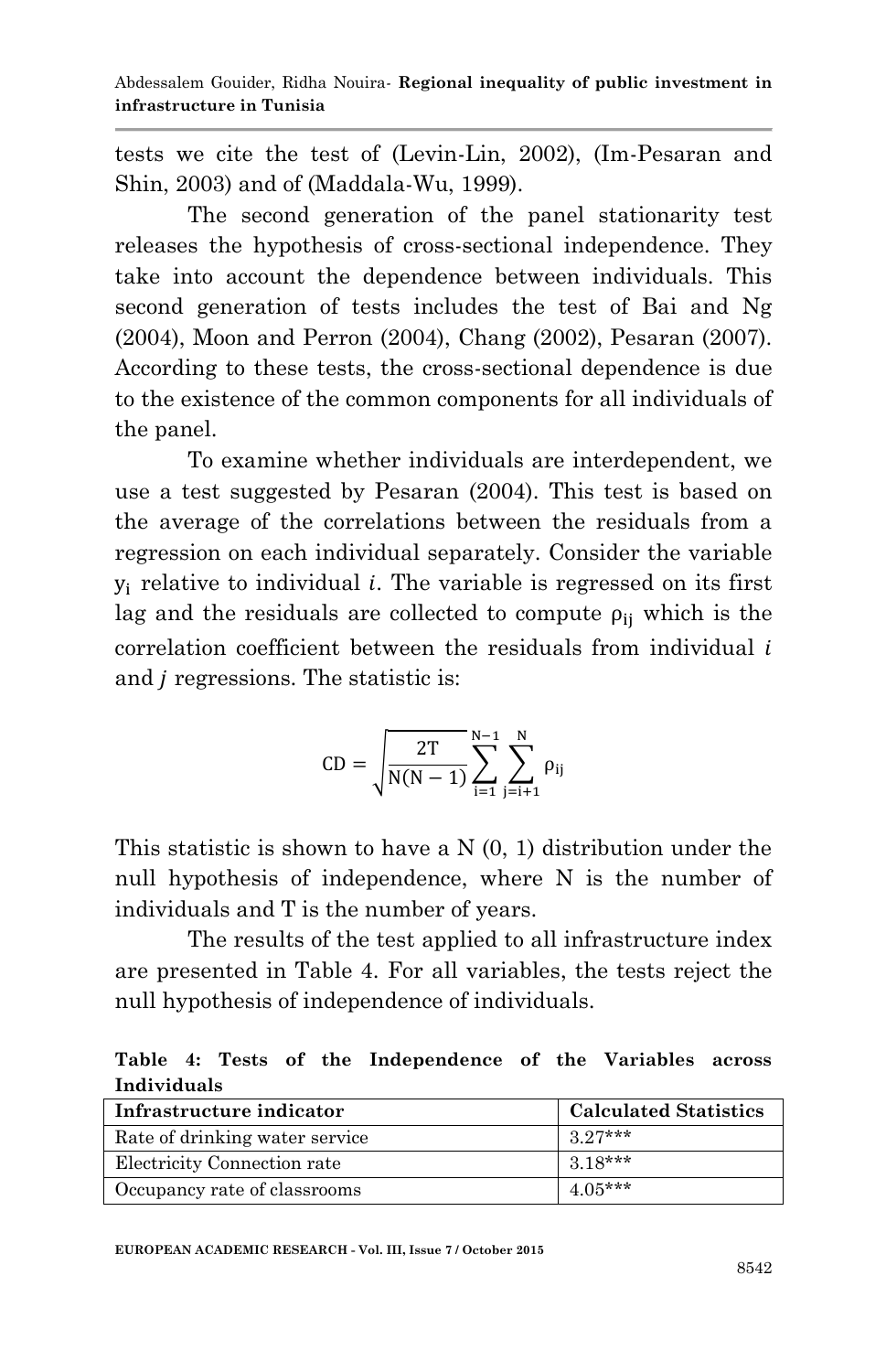tests we cite the test of (Levin-Lin, 2002), (Im-Pesaran and Shin, 2003) and of (Maddala-Wu, 1999).

The second generation of the panel stationarity test releases the hypothesis of cross-sectional independence. They take into account the dependence between individuals. This second generation of tests includes the test of Bai and Ng (2004), Moon and Perron (2004), Chang (2002), Pesaran (2007). According to these tests, the cross-sectional dependence is due to the existence of the common components for all individuals of the panel.

To examine whether individuals are interdependent, we use a test suggested by Pesaran (2004). This test is based on the average of the correlations between the residuals from a regression on each individual separately. Consider the variable  $y_i$  relative to individual *i*. The variable is regressed on its first lag and the residuals are collected to compute  $\rho_{ii}$  which is the correlation coefficient between the residuals from individual and *j* regressions. The statistic is:

$$
CD=\sqrt{\frac{2T}{N(N-1)}}\sum_{i=1}^{N-1}\sum_{j=i+1}^{N}\rho_{ij}
$$

This statistic is shown to have a N (0, 1) distribution under the null hypothesis of independence, where N is the number of individuals and T is the number of years.

The results of the test applied to all infrastructure index are presented in Table 4. For all variables, the tests reject the null hypothesis of independence of individuals.

**Table 4: Tests of the Independence of the Variables across Individuals**

| Infrastructure indicator       | <b>Calculated Statistics</b> |  |  |  |
|--------------------------------|------------------------------|--|--|--|
| Rate of drinking water service | $3.27***$                    |  |  |  |
| Electricity Connection rate    | $3.18***$                    |  |  |  |
| Occupancy rate of classrooms   | $4.05***$                    |  |  |  |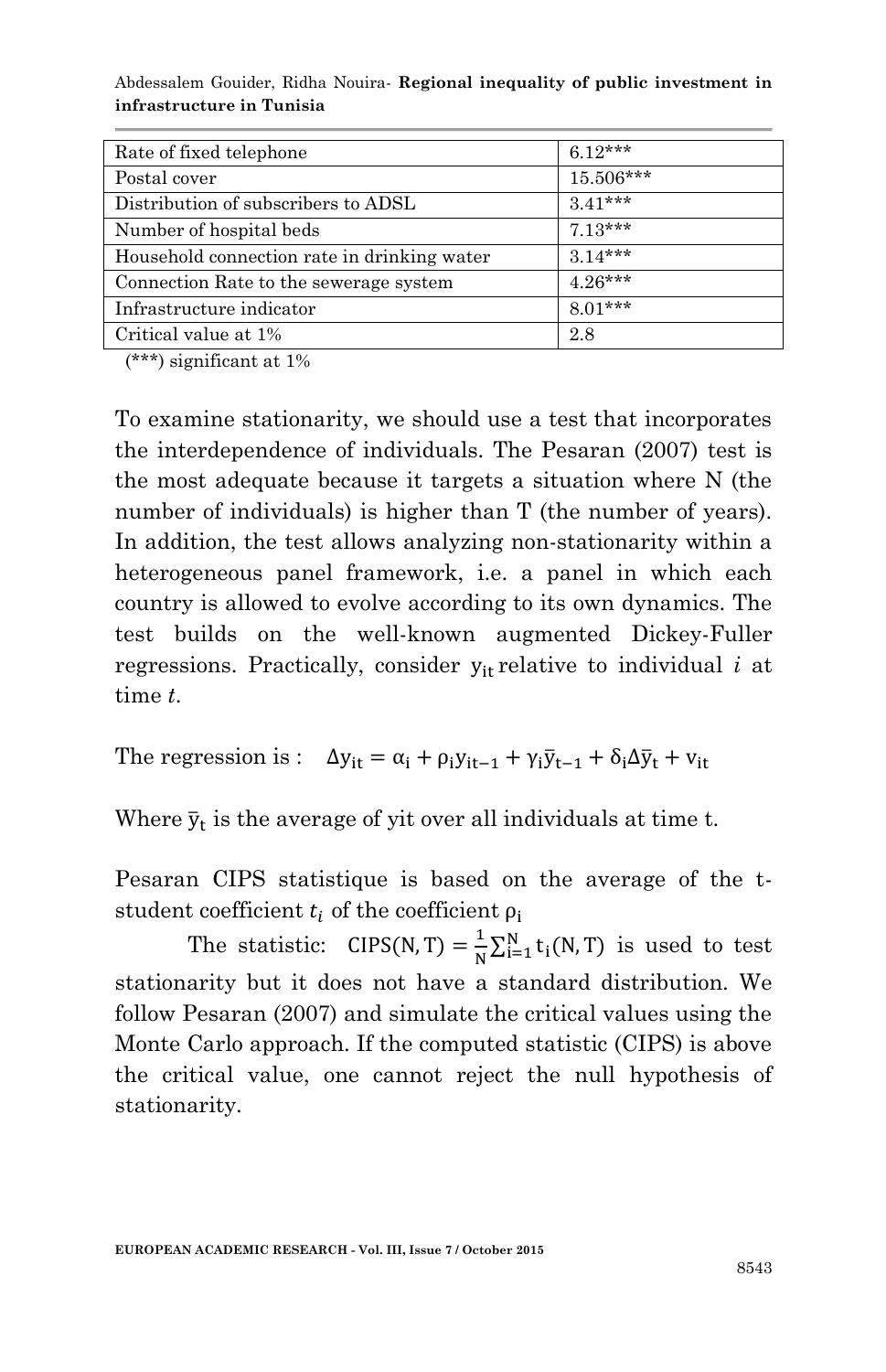| Rate of fixed telephone                     | $6.12***$ |
|---------------------------------------------|-----------|
| Postal cover                                | 15.506*** |
| Distribution of subscribers to ADSL         | $3.41***$ |
| Number of hospital beds                     | $7.13***$ |
| Household connection rate in drinking water | $3.14***$ |
| Connection Rate to the sewerage system      | $4.26***$ |
| Infrastructure indicator                    | $8.01***$ |
| Critical value at 1%                        | 2.8       |

(\*\*\*) significant at 1%

To examine stationarity, we should use a test that incorporates the interdependence of individuals. The Pesaran (2007) test is the most adequate because it targets a situation where N (the number of individuals) is higher than T (the number of years). In addition, the test allows analyzing non-stationarity within a heterogeneous panel framework, i.e. a panel in which each country is allowed to evolve according to its own dynamics. The test builds on the well-known augmented Dickey-Fuller regressions. Practically, consider  $y_{it}$  relative to individual *i* at time *t*.

The regression is :  $\Delta y_{it} = \alpha_i + \rho_i y_{it-1} + \gamma_i \overline{y}_{t-1} + \delta_i \Delta \overline{y}_t + v_{it}$ 

Where  $\bar{y}_t$  is the average of yit over all individuals at time t.

Pesaran CIPS statistique is based on the average of the tstudent coefficient  $t_i$  of the coefficient  $\rho_i$ 

The statistic:  $CIPS(N, T) = \frac{1}{N}$  $\frac{1}{N} \sum_{i=1}^{N} t_i(N,T)$  is used to test stationarity but it does not have a standard distribution. We follow Pesaran (2007) and simulate the critical values using the Monte Carlo approach. If the computed statistic (CIPS) is above the critical value, one cannot reject the null hypothesis of stationarity.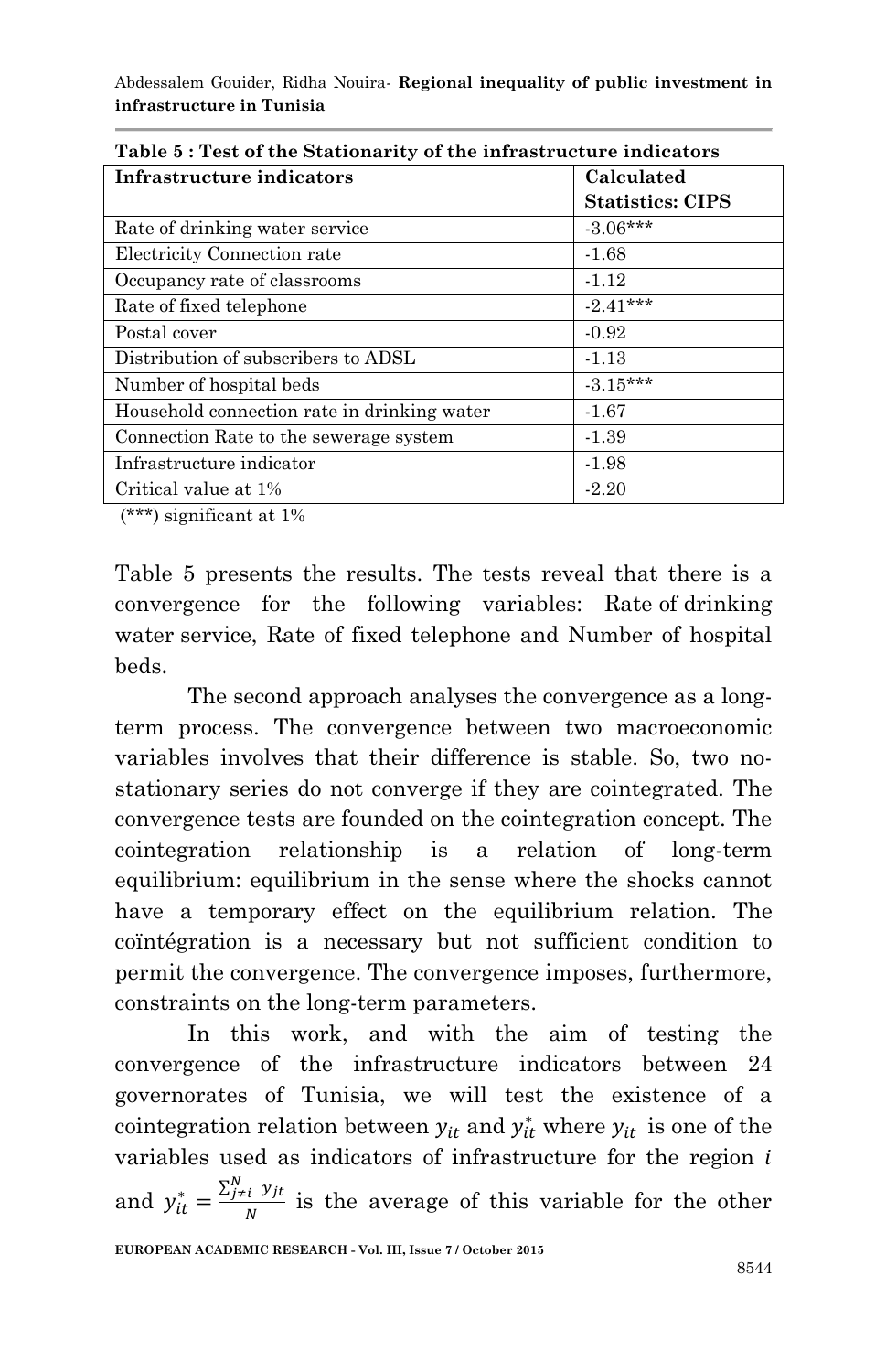| Calculated                                                         |
|--------------------------------------------------------------------|
| <b>Statistics: CIPS</b>                                            |
| $-3.06***$                                                         |
| $-1.68$                                                            |
| $-1.12$                                                            |
| $-2.41***$                                                         |
| $-0.92$                                                            |
| $-1.13$                                                            |
| $-3.15***$                                                         |
| $-1.67$                                                            |
| $-1.39$                                                            |
| $-1.98$                                                            |
| $-2.20$                                                            |
| Table 5: Test of the Stationarity of the infrastructure indicators |

**Table 5 : Test of the Stationarity of the infrastructure indicators**

(\*\*\*) significant at 1%

Table 5 presents the results. The tests reveal that there is a convergence for the following variables: Rate of drinking water service, Rate of fixed telephone and Number of hospital beds.

The second approach analyses the convergence as a longterm process. The convergence between two macroeconomic variables involves that their difference is stable. So, two nostationary series do not converge if they are cointegrated. The convergence tests are founded on the cointegration concept. The cointegration relationship is a relation of long-term equilibrium: equilibrium in the sense where the shocks cannot have a temporary effect on the equilibrium relation. The coïntégration is a necessary but not sufficient condition to permit the convergence. The convergence imposes, furthermore, constraints on the long-term parameters.

In this work, and with the aim of testing the convergence of the infrastructure indicators between 24 governorates of Tunisia, we will test the existence of a cointegration relation between  $y_{it}$  and  $y_{it}^*$  where  $y_{it}$  is one of the variables used as indicators of infrastructure for the region  $i$ and  $y_{it}^* = \frac{\sum_{j \neq i}^N y}{N}$  $\frac{i}{N}$  is the average of this variable for the other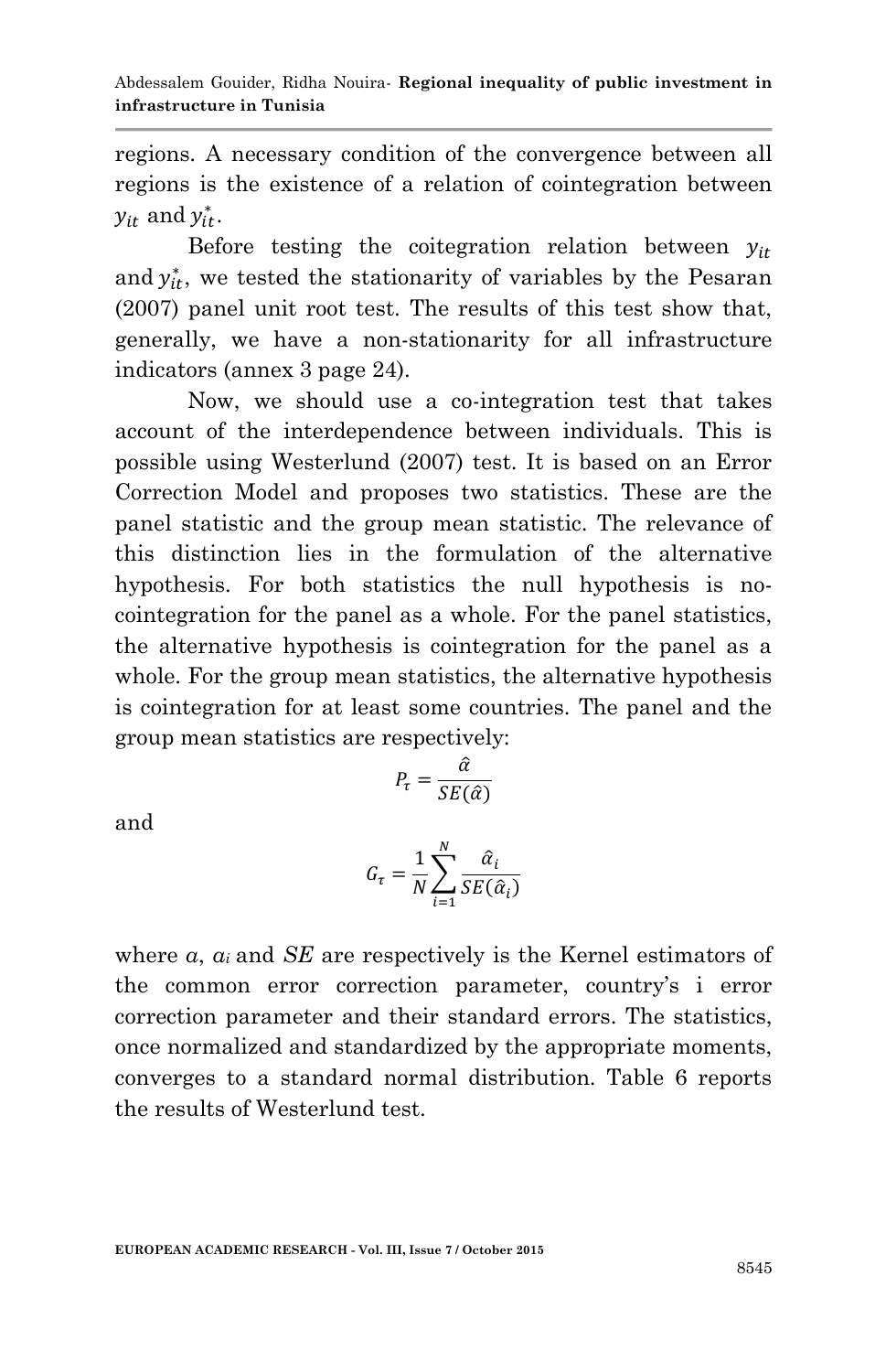regions. A necessary condition of the convergence between all regions is the existence of a relation of cointegration between  $y_{it}$  and  $y_{it}^*$ .

Before testing the coitegration relation between  $y_{it}$ and  $y_{it}^*$ , we tested the stationarity of variables by the Pesaran (2007) panel unit root test. The results of this test show that, generally, we have a non-stationarity for all infrastructure indicators (annex 3 page 24).

Now, we should use a co-integration test that takes account of the interdependence between individuals. This is possible using Westerlund (2007) test. It is based on an Error Correction Model and proposes two statistics. These are the panel statistic and the group mean statistic. The relevance of this distinction lies in the formulation of the alternative hypothesis. For both statistics the null hypothesis is nocointegration for the panel as a whole. For the panel statistics, the alternative hypothesis is cointegration for the panel as a whole. For the group mean statistics, the alternative hypothesis is cointegration for at least some countries. The panel and the group mean statistics are respectively:

$$
P_{\tau} = \frac{\hat{\alpha}}{SE(\hat{\alpha})}
$$

and

$$
G_{\tau} = \frac{1}{N} \sum_{i=1}^{N} \frac{\hat{\alpha}_i}{SE(\hat{\alpha}_i)}
$$

where *α*, *α<sup>i</sup>* and *SE* are respectively is the Kernel estimators of the common error correction parameter, country's i error correction parameter and their standard errors. The statistics, once normalized and standardized by the appropriate moments, converges to a standard normal distribution. Table 6 reports the results of Westerlund test.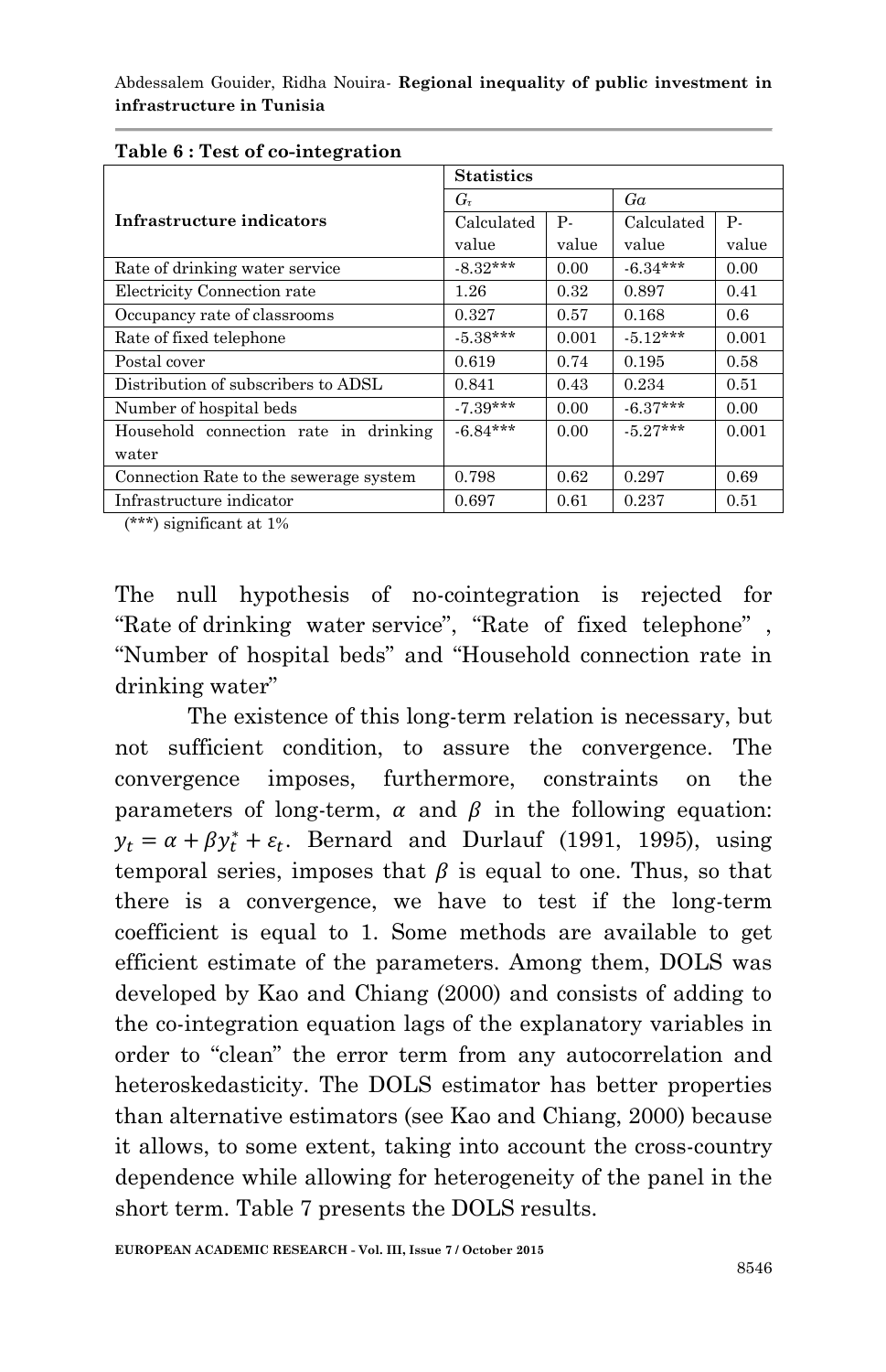|                                        | <b>Statistics</b> |           |            |       |  |  |  |
|----------------------------------------|-------------------|-----------|------------|-------|--|--|--|
|                                        | $G_{\tau}$        |           | Ga         |       |  |  |  |
| Infrastructure indicators              | Calculated        | <b>P.</b> | Calculated | Р.    |  |  |  |
|                                        | value             | value     | value      | value |  |  |  |
| Rate of drinking water service         | $-8.32***$        | 0.00      | $-6.34***$ | 0.00  |  |  |  |
| Electricity Connection rate            | $1.26\,$          | 0.32      | 0.897      | 0.41  |  |  |  |
| Occupancy rate of classrooms           | 0.327             | 0.57      | 0.168      | 0.6   |  |  |  |
| Rate of fixed telephone                | $-5.38***$        | 0.001     | $-5.12***$ | 0.001 |  |  |  |
| Postal cover                           | 0.619             | 0.74      | 0.195      | 0.58  |  |  |  |
| Distribution of subscribers to ADSL    | 0.841             | 0.43      | 0.234      | 0.51  |  |  |  |
| Number of hospital beds                | $-7.39***$        | 0.00      | $-6.37***$ | 0.00  |  |  |  |
| Household connection rate in drinking  | $-6.84***$        | 0.00      | $-5.27***$ | 0.001 |  |  |  |
| water                                  |                   |           |            |       |  |  |  |
| Connection Rate to the sewerage system | 0.798             | 0.62      | 0.297      | 0.69  |  |  |  |
| Infrastructure indicator               | 0.697             | 0.61      | 0.237      | 0.51  |  |  |  |

#### **Table 6 : Test of co-integration**

(\*\*\*) significant at 1%

The null hypothesis of no-cointegration is rejected for "Rate of drinking water service", "Rate of fixed telephone" , "Number of hospital beds" and "Household connection rate in drinking water"

The existence of this long-term relation is necessary, but not sufficient condition, to assure the convergence. The convergence imposes, furthermore, constraints on the parameters of long-term,  $\alpha$  and  $\beta$  in the following equation:  $y_t = \alpha + \beta y_t^* + \varepsilon_t$ . Bernard and Durlauf (1991, 1995), using temporal series, imposes that  $\beta$  is equal to one. Thus, so that there is a convergence, we have to test if the long-term coefficient is equal to 1. Some methods are available to get efficient estimate of the parameters. Among them, DOLS was developed by Kao and Chiang (2000) and consists of adding to the co-integration equation lags of the explanatory variables in order to "clean" the error term from any autocorrelation and heteroskedasticity. The DOLS estimator has better properties than alternative estimators (see Kao and Chiang, 2000) because it allows, to some extent, taking into account the cross-country dependence while allowing for heterogeneity of the panel in the short term. Table 7 presents the DOLS results.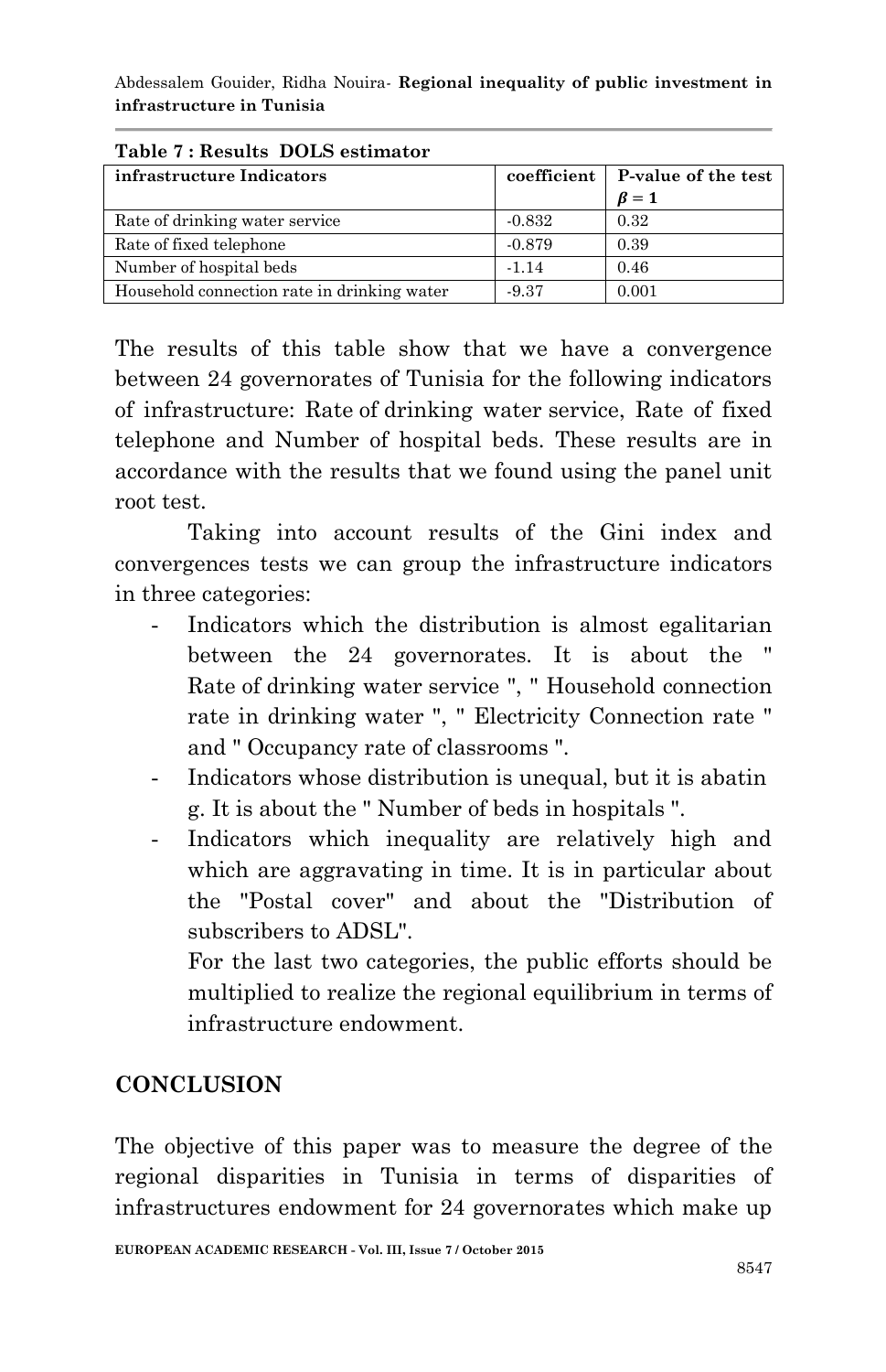| Table <i>i</i> : Results DOLS estimator     |             |                     |
|---------------------------------------------|-------------|---------------------|
| infrastructure Indicators                   | coefficient | P-value of the test |
|                                             |             | $\beta = 1$         |
| Rate of drinking water service              | $-0.832$    | 0.32                |
| Rate of fixed telephone                     | $-0.879$    | 0.39                |
| Number of hospital beds                     | $-1.14$     | 0.46                |
| Household connection rate in drinking water | $-9.37$     | 0.001               |

**Table 7 : Results DOLS estimator**

The results of this table show that we have a convergence between 24 governorates of Tunisia for the following indicators of infrastructure: Rate of drinking water service, Rate of fixed telephone and Number of hospital beds. These results are in accordance with the results that we found using the panel unit root test.

Taking into account results of the Gini index and convergences tests we can group the infrastructure indicators in three categories:

- Indicators which the distribution is almost egalitarian between the 24 governorates. It is about the " Rate of drinking water service ", " Household connection rate in drinking water ", " Electricity Connection rate " and " Occupancy rate of classrooms ".
- Indicators whose distribution is unequal, but it is abatin g. It is about the " Number of beds in hospitals ".
- Indicators which inequality are relatively high and which are aggravating in time. It is in particular about the "Postal cover" and about the "Distribution of subscribers to ADSL".

For the last two categories, the public efforts should be multiplied to realize the regional equilibrium in terms of infrastructure endowment.

### **CONCLUSION**

The objective of this paper was to measure the degree of the regional disparities in Tunisia in terms of disparities of infrastructures endowment for 24 governorates which make up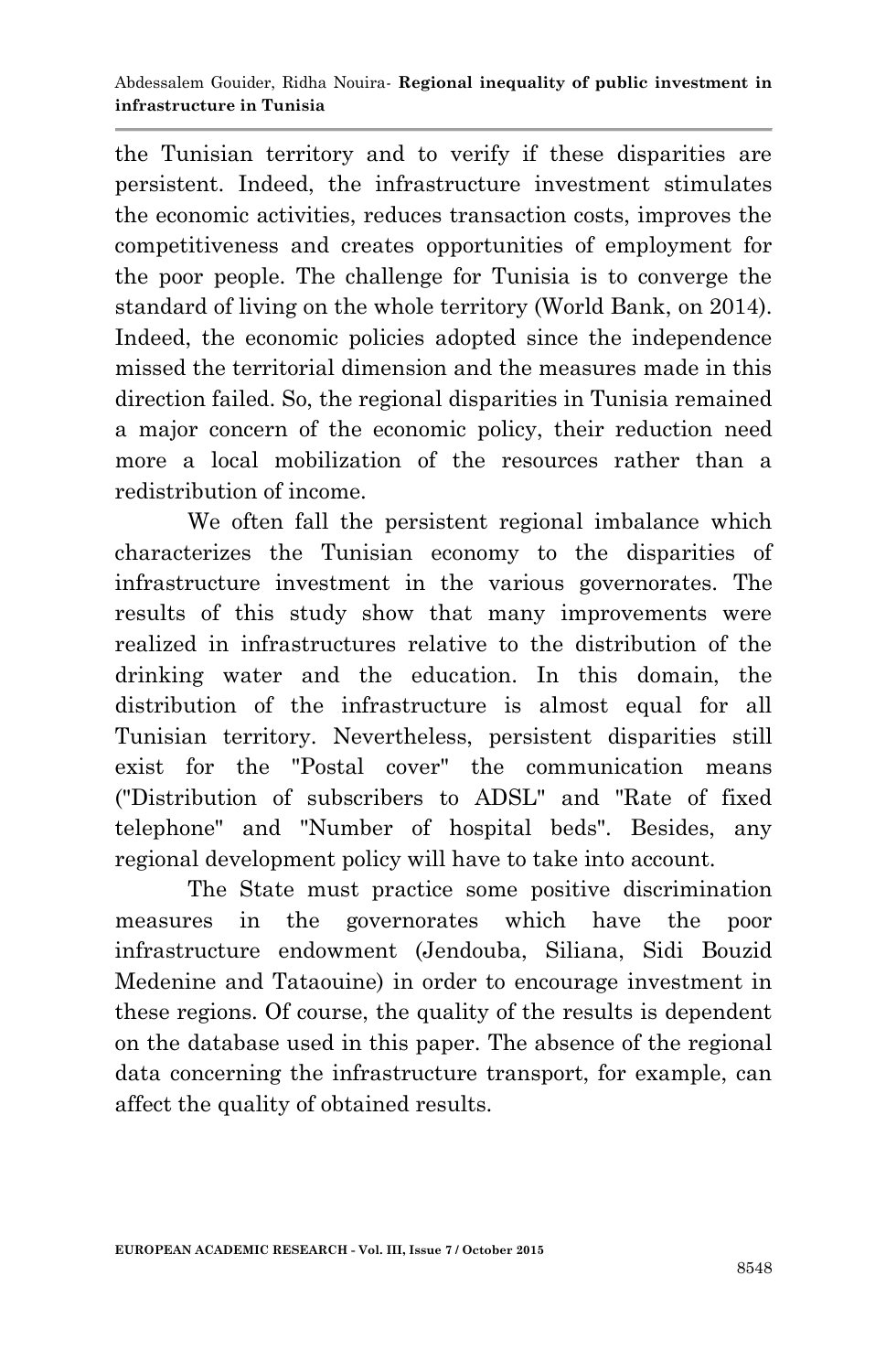the Tunisian territory and to verify if these disparities are persistent. Indeed, the infrastructure investment stimulates the economic activities, reduces transaction costs, improves the competitiveness and creates opportunities of employment for the poor people. The challenge for Tunisia is to converge the standard of living on the whole territory (World Bank, on 2014). Indeed, the economic policies adopted since the independence missed the territorial dimension and the measures made in this direction failed. So, the regional disparities in Tunisia remained a major concern of the economic policy, their reduction need more a local mobilization of the resources rather than a redistribution of income.

We often fall the persistent regional imbalance which characterizes the Tunisian economy to the disparities of infrastructure investment in the various governorates. The results of this study show that many improvements were realized in infrastructures relative to the distribution of the drinking water and the education. In this domain, the distribution of the infrastructure is almost equal for all Tunisian territory. Nevertheless, persistent disparities still exist for the "Postal cover" the communication means ("Distribution of subscribers to ADSL" and "Rate of fixed telephone" and "Number of hospital beds". Besides, any regional development policy will have to take into account.

The State must practice some positive discrimination measures in the governorates which have the poor infrastructure endowment (Jendouba, Siliana, Sidi Bouzid Medenine and Tataouine) in order to encourage investment in these regions. Of course, the quality of the results is dependent on the database used in this paper. The absence of the regional data concerning the infrastructure transport, for example, can affect the quality of obtained results.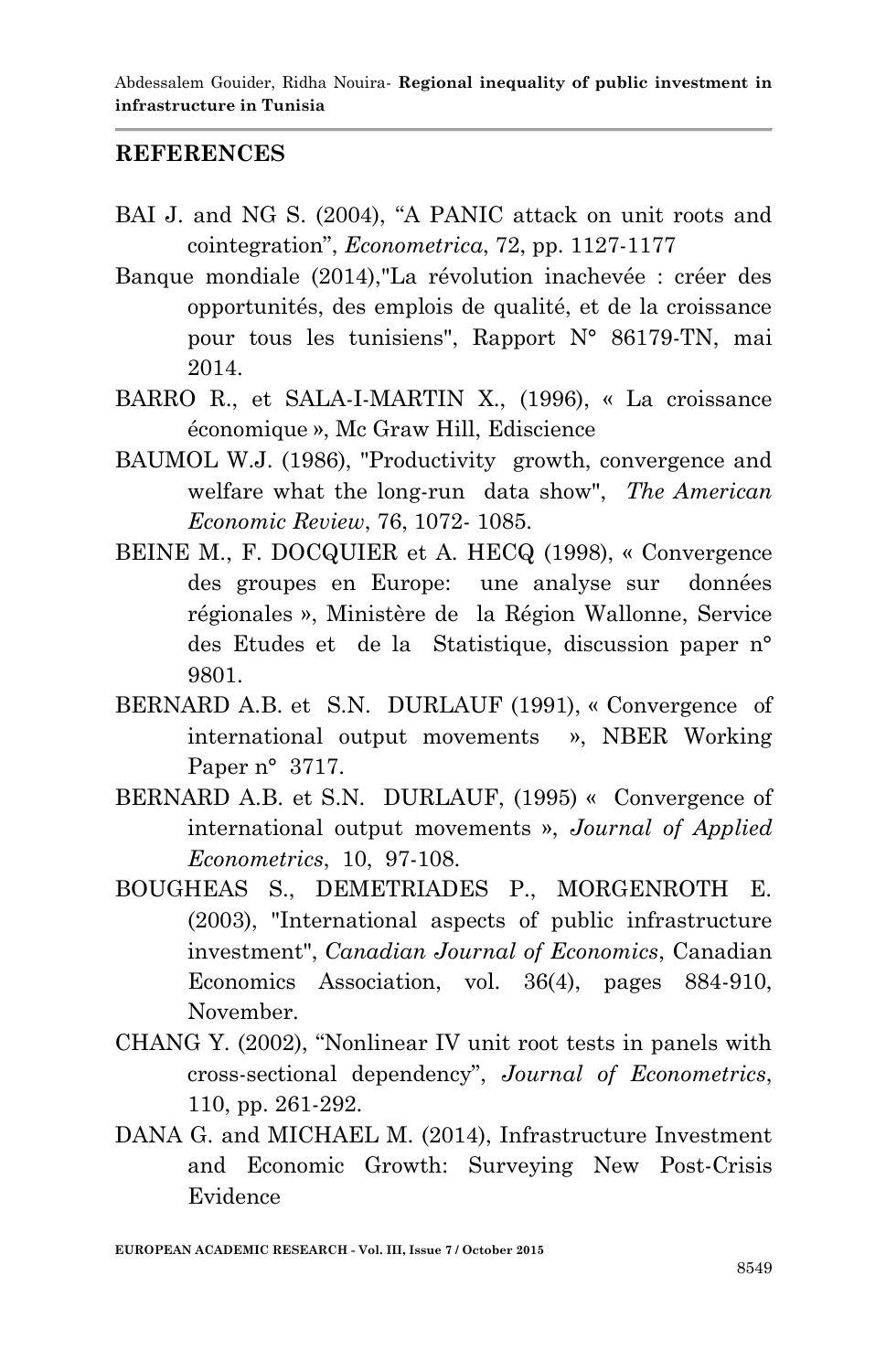### **REFERENCES**

- BAI J. and NG S. (2004), "A PANIC attack on unit roots and cointegration", *Econometrica*, 72, pp. 1127-1177
- Banque mondiale (2014),"La révolution inachevée : créer des opportunités, des emplois de qualité, et de la croissance pour tous les tunisiens", Rapport N° 86179-TN, mai 2014.
- BARRO R., et SALA-I-MARTIN X., (1996), « La croissance économique », Mc Graw Hill, Ediscience
- BAUMOL W.J. (1986), "Productivity growth, convergence and welfare what the long-run data show", *The American Economic Review*, 76, 1072- 1085.
- BEINE M., F. DOCQUIER et A. HECQ (1998), « Convergence des groupes en Europe: une analyse sur données régionales », Ministère de la Région Wallonne, Service des Etudes et de la Statistique, discussion paper n° 9801.
- BERNARD A.B. et S.N. DURLAUF (1991), « Convergence of international output movements », NBER Working Paper n° 3717.
- BERNARD A.B. et S.N. DURLAUF, (1995) « Convergence of international output movements », *Journal of Applied Econometrics*, 10, 97-108.
- BOUGHEAS S., DEMETRIADES P., MORGENROTH E. (2003), "International aspects of public infrastructure investment", *Canadian Journal of Economics*, Canadian Economics Association, vol. 36(4), pages 884-910, November.
- CHANG Y. (2002), "Nonlinear IV unit root tests in panels with cross-sectional dependency", *Journal of Econometrics*, 110, pp. 261-292.
- DANA G. and MICHAEL M. (2014), Infrastructure Investment and Economic Growth: Surveying New Post-Crisis Evidence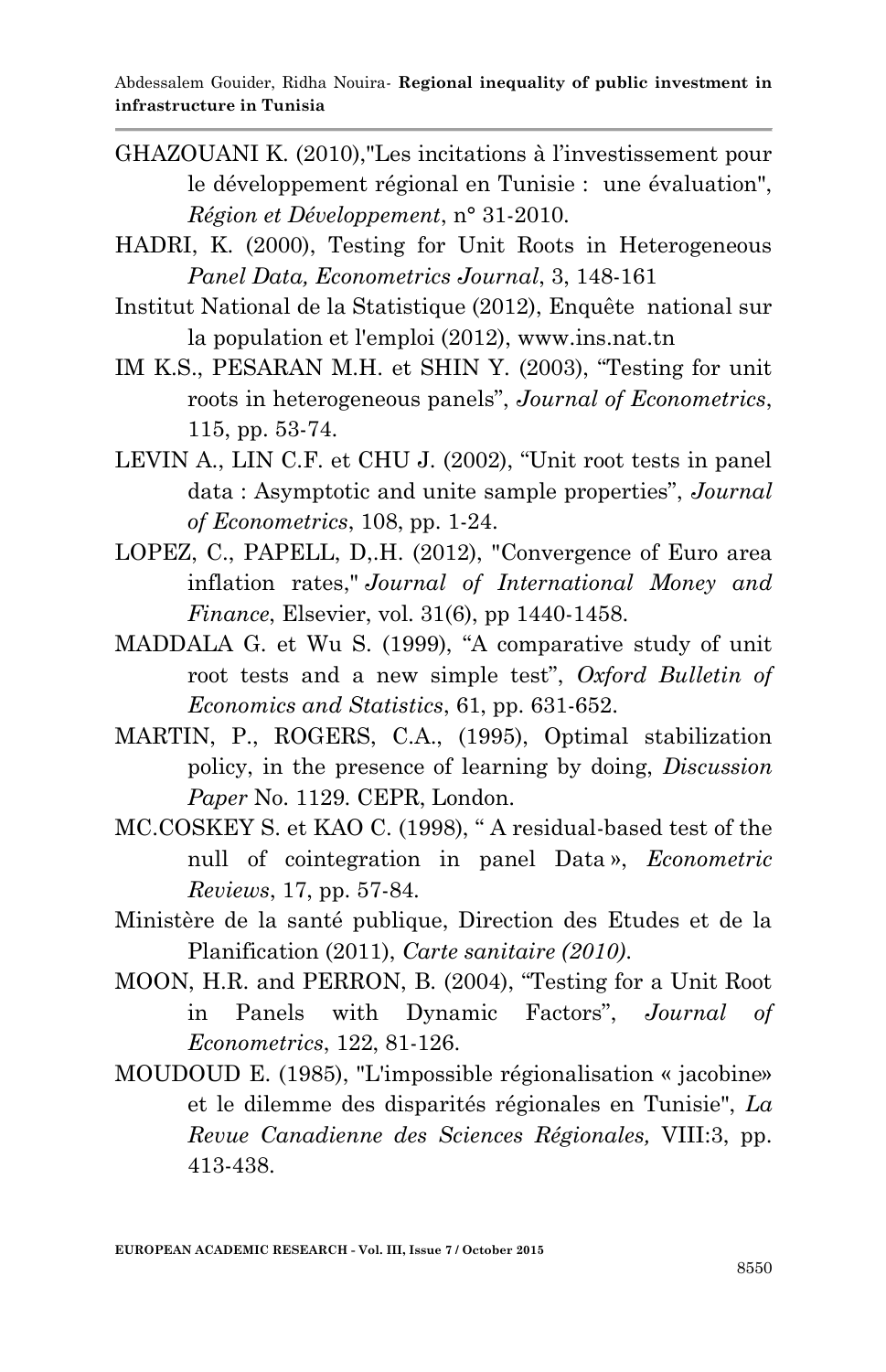- GHAZOUANI K. (2010),"Les incitations à l'investissement pour le développement régional en Tunisie : une évaluation", *Région et Développement*, n° 31-2010.
- HADRI, K. (2000), Testing for Unit Roots in Heterogeneous *Panel Data, Econometrics Journal*, 3, 148-161
- Institut National de la Statistique (2012), Enquête national sur la population et l'emploi (2012), www.ins.nat.tn
- IM K.S., PESARAN M.H. et SHIN Y. (2003), "Testing for unit roots in heterogeneous panels", *Journal of Econometrics*, 115, pp. 53-74.
- LEVIN A., LIN C.F. et CHU J. (2002), "Unit root tests in panel data : Asymptotic and unite sample properties", *Journal of Econometrics*, 108, pp. 1-24.
- LOPEZ, C., PAPELL, D,.H. (2012), "Convergence of Euro area inflation rates," *Journal of International Money and Finance*, Elsevier, vol. 31(6), pp 1440-1458.
- MADDALA G. et Wu S. (1999), "A comparative study of unit root tests and a new simple test", *Oxford Bulletin of Economics and Statistics*, 61, pp. 631-652.
- MARTIN, P., ROGERS, C.A., (1995), Optimal stabilization policy, in the presence of learning by doing, *Discussion Paper* No. 1129. CEPR, London.
- MC.COSKEY S. et KAO C. (1998), " A residual-based test of the null of cointegration in panel Data », *Econometric Reviews*, 17, pp. 57-84.
- Ministère de la santé publique, Direction des Etudes et de la Planification (2011), *Carte sanitaire (2010)*.
- MOON, H.R. and PERRON, B. (2004), "Testing for a Unit Root in Panels with Dynamic Factors", *Journal of Econometrics*, 122, 81-126.
- MOUDOUD E. (1985), "L'impossible régionalisation « jacobine» et le dilemme des disparités régionales en Tunisie", *La Revue Canadienne des Sciences Régionales,* VIII:3, pp. 413-438.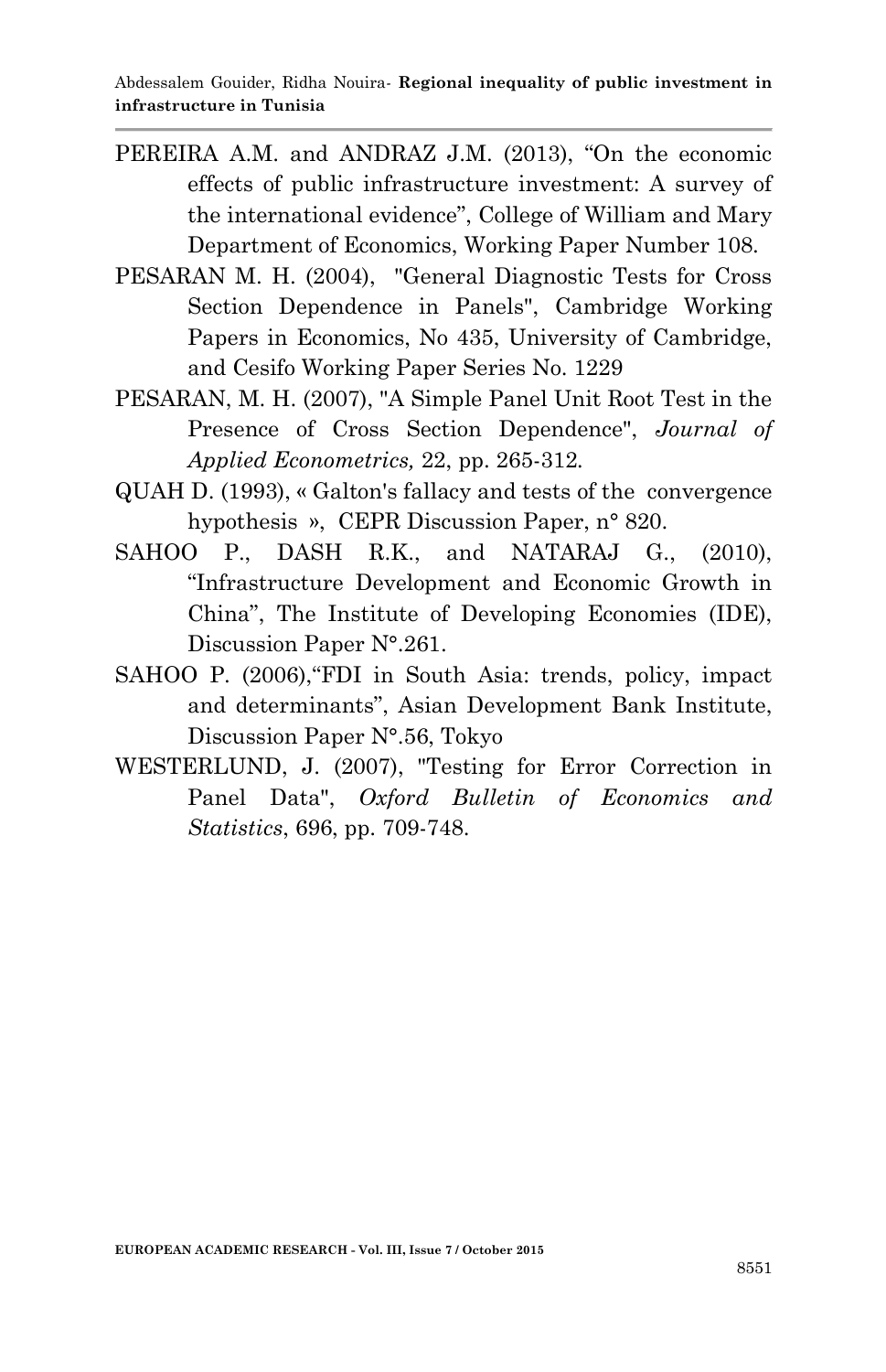- PEREIRA A.M. and ANDRAZ J.M. (2013), "On the economic effects of public infrastructure investment: A survey of the international evidence", College of William and Mary Department of Economics, Working Paper Number 108.
- PESARAN M. H. (2004), "General Diagnostic Tests for Cross Section Dependence in Panels", Cambridge Working Papers in Economics, No 435, University of Cambridge, and Cesifo Working Paper Series No. 1229
- PESARAN, M. H. (2007), "A Simple Panel Unit Root Test in the Presence of Cross Section Dependence", *Journal of Applied Econometrics,* 22, pp. 265-312*.*
- QUAH D. (1993), « Galton's fallacy and tests of the convergence hypothesis », CEPR Discussion Paper, n° 820.
- SAHOO P., DASH R.K., and NATARAJ G., (2010), "Infrastructure Development and Economic Growth in China", The Institute of Developing Economies (IDE), Discussion Paper N°.261.
- SAHOO P. (2006),"FDI in South Asia: trends, policy, impact and determinants", Asian Development Bank Institute, Discussion Paper N°.56, Tokyo
- WESTERLUND, J. (2007), "Testing for Error Correction in Panel Data", *Oxford Bulletin of Economics and Statistics*, 696, pp. 709-748.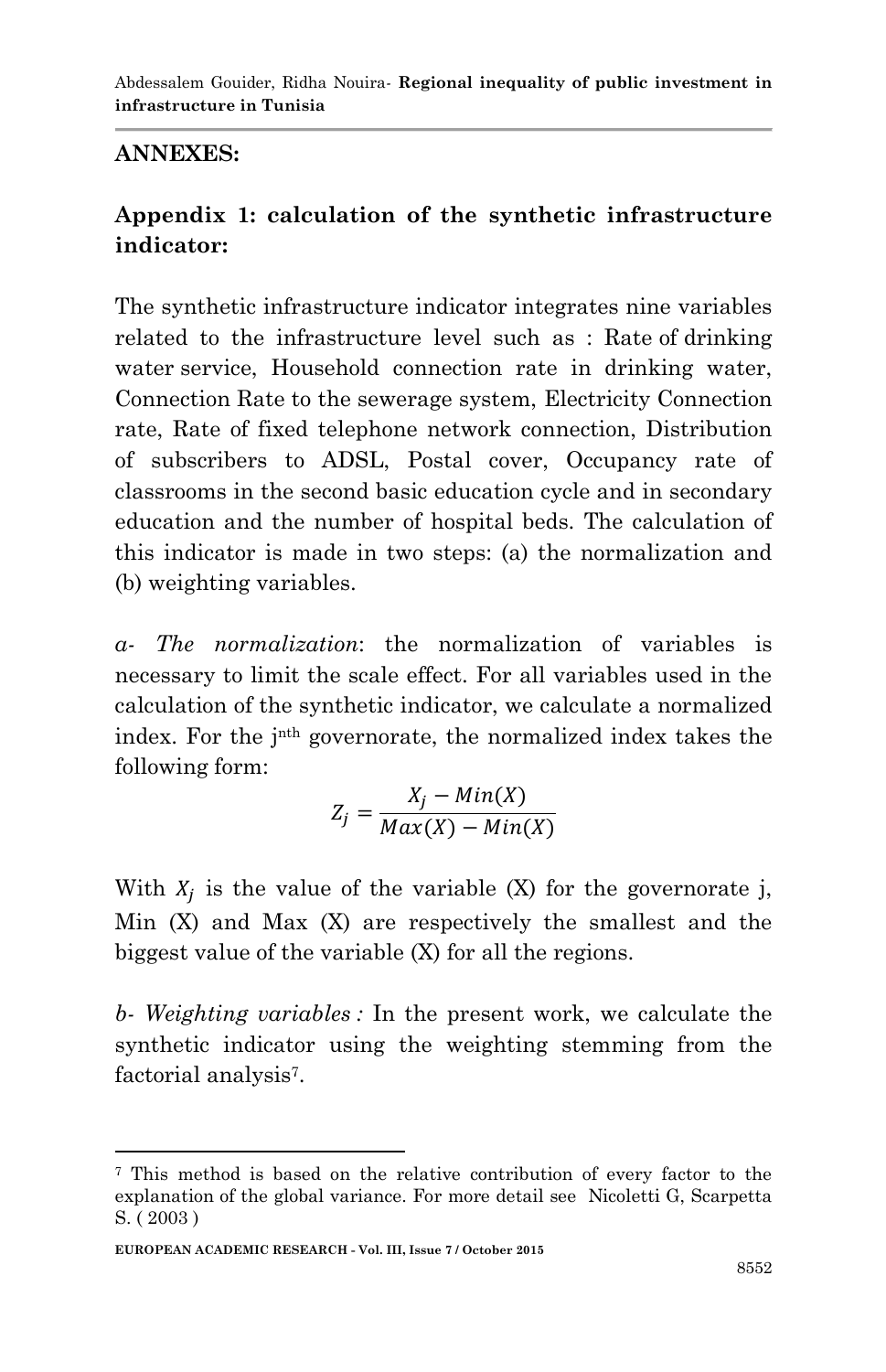### **ANNEXES:**

# **Appendix 1: calculation of the synthetic infrastructure indicator:**

The synthetic infrastructure indicator integrates nine variables related to the infrastructure level such as : Rate of drinking water service, Household connection rate in drinking water, Connection Rate to the sewerage system, Electricity Connection rate, Rate of fixed telephone network connection, Distribution of subscribers to ADSL, Postal cover, Occupancy rate of classrooms in the second basic education cycle and in secondary education and the number of hospital beds. The calculation of this indicator is made in two steps: (a) the normalization and (b) weighting variables.

*a- The normalization*: the normalization of variables is necessary to limit the scale effect. For all variables used in the calculation of the synthetic indicator, we calculate a normalized index. For the jnth governorate, the normalized index takes the following form:

$$
Z_j = \frac{X_j - Min(X)}{Max(X) - Min(X)}
$$

With  $X_i$  is the value of the variable (X) for the governorate j, Min (X) and Max (X) are respectively the smallest and the biggest value of the variable (X) for all the regions.

*b- Weighting variables :* In the present work, we calculate the synthetic indicator using the weighting stemming from the factorial analysis<sup>7</sup>.

1

<sup>7</sup> This method is based on the relative contribution of every factor to the explanation of the global variance. For more detail see Nicoletti G, Scarpetta S. ( 2003 )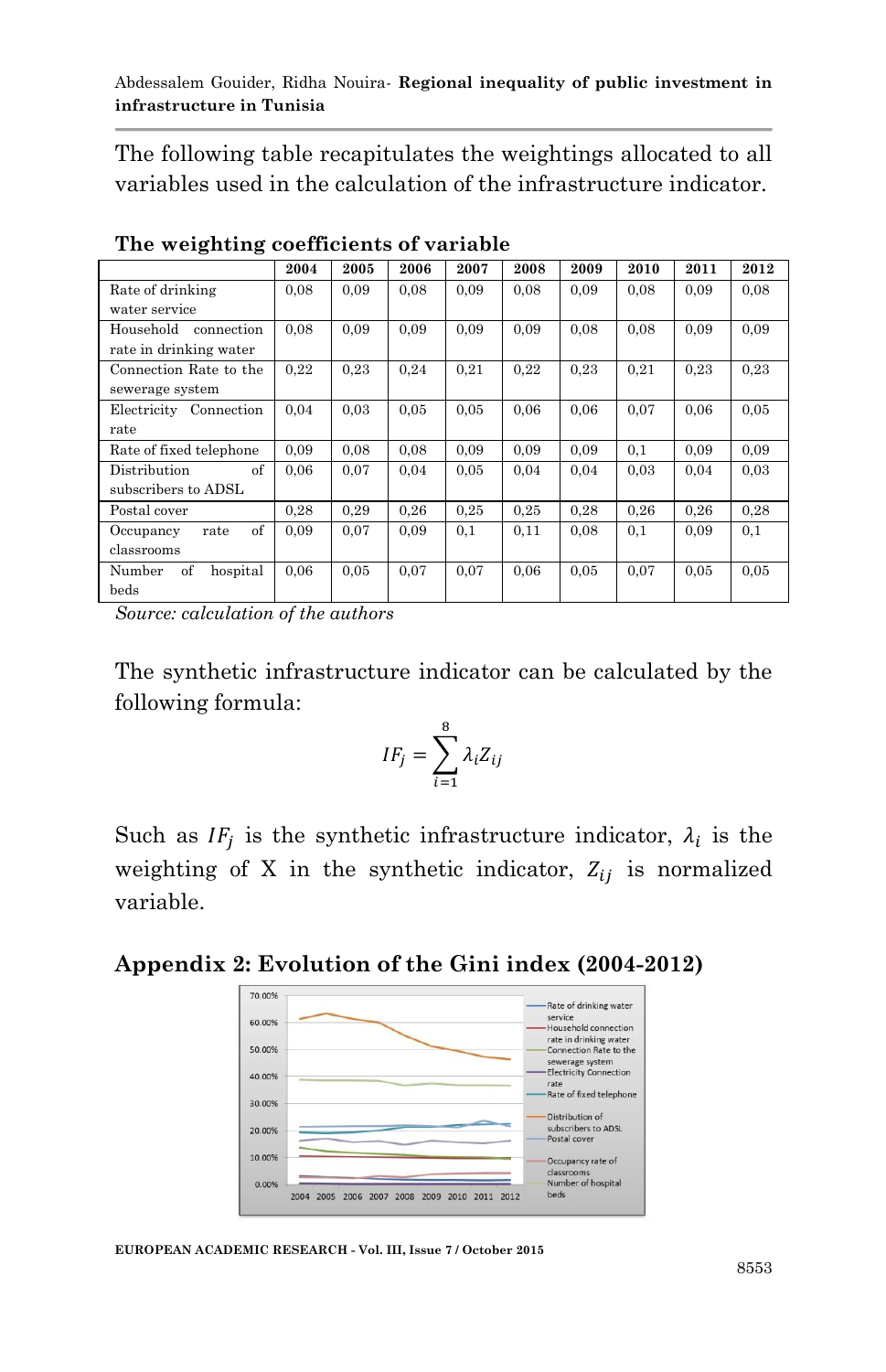The following table recapitulates the weightings allocated to all variables used in the calculation of the infrastructure indicator.

|                          | 2004 | 2005 | 2006 | 2007 | 2008 | 2009 | 2010 | 2011 | 2012 |
|--------------------------|------|------|------|------|------|------|------|------|------|
| Rate of drinking         | 0.08 | 0.09 | 0.08 | 0.09 | 0.08 | 0.09 | 0.08 | 0.09 | 0,08 |
| water service            |      |      |      |      |      |      |      |      |      |
| Household<br>connection  | 0.08 | 0.09 | 0,09 | 0.09 | 0.09 | 0.08 | 0.08 | 0.09 | 0,09 |
| rate in drinking water   |      |      |      |      |      |      |      |      |      |
| Connection Rate to the   | 0,22 | 0,23 | 0,24 | 0,21 | 0,22 | 0.23 | 0,21 | 0,23 | 0.23 |
| sewerage system          |      |      |      |      |      |      |      |      |      |
| Electricity Connection   | 0.04 | 0.03 | 0.05 | 0.05 | 0.06 | 0.06 | 0.07 | 0.06 | 0.05 |
| rate                     |      |      |      |      |      |      |      |      |      |
| Rate of fixed telephone  | 0.09 | 0,08 | 0,08 | 0.09 | 0.09 | 0.09 | 0,1  | 0.09 | 0,09 |
| of<br>Distribution       | 0.06 | 0,07 | 0,04 | 0.05 | 0.04 | 0,04 | 0.03 | 0,04 | 0,03 |
| subscribers to ADSL      |      |      |      |      |      |      |      |      |      |
| Postal cover             | 0,28 | 0,29 | 0,26 | 0,25 | 0,25 | 0,28 | 0.26 | 0,26 | 0,28 |
| of<br>Occupancy<br>rate  | 0.09 | 0,07 | 0,09 | 0,1  | 0,11 | 0.08 | 0,1  | 0.09 | 0,1  |
| classrooms               |      |      |      |      |      |      |      |      |      |
| of<br>Number<br>hospital | 0,06 | 0.05 | 0,07 | 0,07 | 0.06 | 0,05 | 0.07 | 0.05 | 0.05 |
| beds                     |      |      |      |      |      |      |      |      |      |

**The weighting coefficients of variable**

*Source: calculation of the authors*

The synthetic infrastructure indicator can be calculated by the following formula:

$$
IF_j = \sum_{i=1}^{8} \lambda_i Z_{ij}
$$

Such as  $IF_i$  is the synthetic infrastructure indicator,  $\lambda_i$  is the weighting of X in the synthetic indicator,  $Z_{ij}$  is normalized variable.

### **Appendix 2: Evolution of the Gini index (2004-2012)**



**EUROPEAN ACADEMIC RESEARCH - Vol. III, Issue 7 / October 2015**